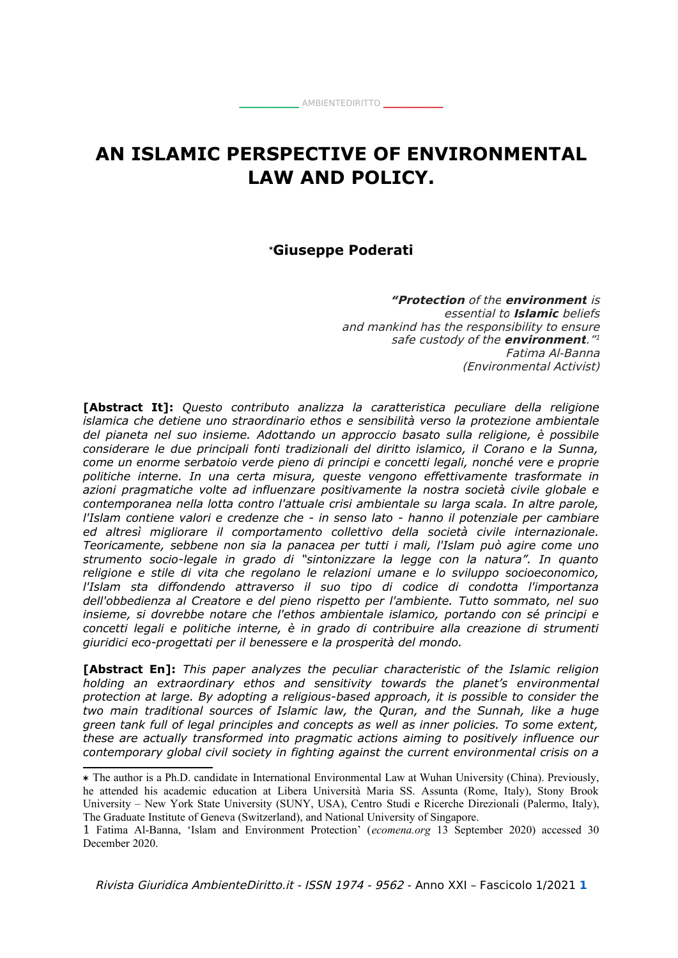# **AN ISLAMIC PERSPECTIVE OF ENVIRONMENTAL LAW AND POLICY.**

 $\_$  [AMBIENTEDIRITTO](http://www.AMBIENTEDIRITTO.it/)  $\_$ 

# **Giuseppe Poderati**

**"Protection** of the **environment** is essential to **Islamic** beliefs and mankind has the responsibility to ensure safe custody of the **environment**." [1](#page-0-1) Fatima Al-Banna (Environmental Activist)

**[Abstract It]:** *Questo contributo analizza la caratteristica peculiare della religione islamica che detiene uno straordinario ethos e sensibilità verso la protezione ambientale del pianeta nel suo insieme. Adottando un approccio basato sulla religione, è possibile considerare le due principali fonti tradizionali del diritto islamico, il Corano e la Sunna, come un enorme serbatoio verde pieno di principi e concetti legali, nonché vere e proprie politiche interne. In una certa misura, queste vengono effettivamente trasformate in azioni pragmatiche volte ad influenzare positivamente la nostra società civile globale e contemporanea nella lotta contro l'attuale crisi ambientale su larga scala. In altre parole, l'Islam contiene valori e credenze che - in senso lato - hanno il potenziale per cambiare ed altresì migliorare il comportamento collettivo della società civile internazionale. Teoricamente, sebbene non sia la panacea per tutti i mali, l'Islam può agire come uno strumento socio-legale in grado di "sintonizzare la legge con la natura". In quanto religione e stile di vita che regolano le relazioni umane e lo sviluppo socioeconomico, l'Islam sta diffondendo attraverso il suo tipo di codice di condotta l'importanza dell'obbedienza al Creatore e del pieno rispetto per l'ambiente. Tutto sommato, nel suo insieme, si dovrebbe notare che l'ethos ambientale islamico, portando con sé principi e concetti legali e politiche interne, è in grado di contribuire alla creazione di strumenti giuridici eco-progettati per il benessere e la prosperità del mondo.*

**[Abstract En]:** *This paper analyzes the peculiar characteristic of the Islamic religion holding an extraordinary ethos and sensitivity towards the planet's environmental protection at large. By adopting a religious-based approach, it is possible to consider the two main traditional sources of Islamic law, the Quran, and the Sunnah, like a huge green tank full of legal principles and concepts as well as inner policies. To some extent, these are actually transformed into pragmatic actions aiming to positively influence our contemporary global civil society in fighting against the current environmental crisis on a*

<span id="page-0-0"></span>The author is a Ph.D. candidate in International Environmental Law at Wuhan University (China). Previously, he attended his academic education at Libera Università Maria SS. Assunta (Rome, Italy), Stony Brook University – New York State University (SUNY, USA), Centro Studi e Ricerche Direzionali (Palermo, Italy), The Graduate Institute of Geneva (Switzerland), and National University of Singapore.

<span id="page-0-1"></span><sup>1</sup> Fatima Al-Banna, 'Islam and Environment Protection' (*ecomena.org* 13 September 2020) accessed 30 December 2020.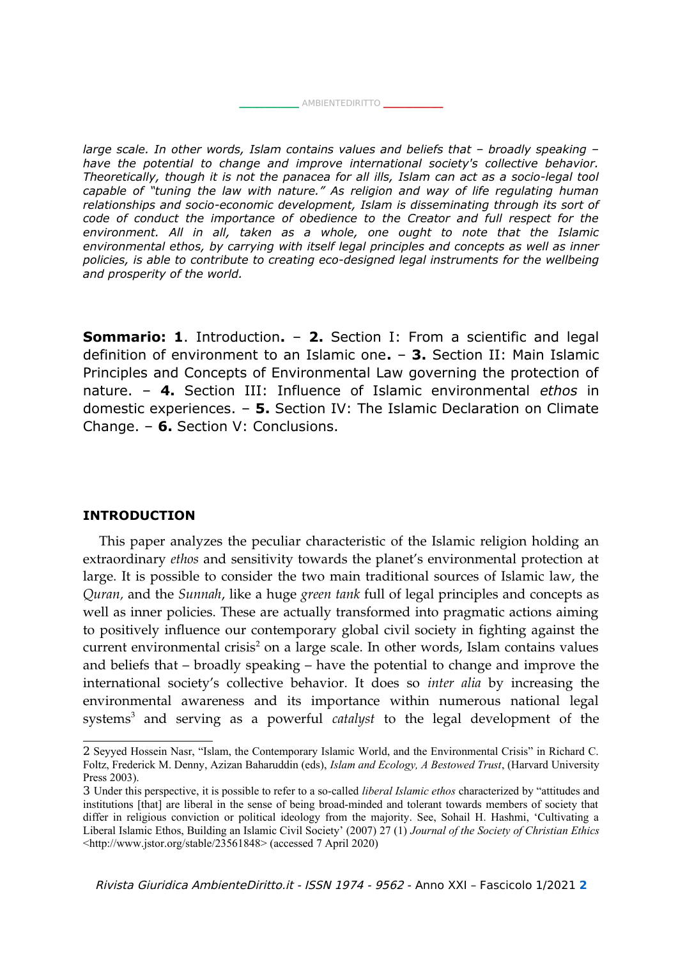*large scale. In other words, Islam contains values and beliefs that – broadly speaking – have the potential to change and improve international society's collective behavior. Theoretically, though it is not the panacea for all ills, Islam can act as a socio-legal tool capable of "tuning the law with nature." As religion and way of life regulating human relationships and socio-economic development, Islam is disseminating through its sort of code of conduct the importance of obedience to the Creator and full respect for the environment. All in all, taken as a whole, one ought to note that the Islamic environmental ethos, by carrying with itself legal principles and concepts as well as inner policies, is able to contribute to creating eco-designed legal instruments for the wellbeing and prosperity of the world.*

**Sommario: 1.** Introduction. - 2. Section I: From a scientific and legal definition of environment to an Islamic one**.** – **3.** Section II: Main Islamic Principles and Concepts of Environmental Law governing the protection of nature. – **4.** Section III: Influence of Islamic environmental *ethos* in domestic experiences. – **5.** Section IV: The Islamic Declaration on Climate Change. – **6.** Section V: Conclusions.

#### **INTRODUCTION**

This paper analyzes the peculiar characteristic of the Islamic religion holding an extraordinary *ethos* and sensitivity towards the planet's environmental protection at large. It is possible to consider the two main traditional sources of Islamic law, the *Quran,* and the *Sunnah*, like a huge *green tank* full of legal principles and concepts as well as inner policies. These are actually transformed into pragmatic actions aiming to positively influence our contemporary global civil society in fighting against the current environmental crisis<sup>[2](#page-1-0)</sup> on a large scale. In other words, Islam contains values and beliefs that – broadly speaking – have the potential to change and improve the international society's collective behavior. It does so *inter alia* by increasing the environmental awareness and its importance within numerous national legal systems<sup>[3](#page-1-1)</sup> and serving as a powerful *catalyst* to the legal development of the

<span id="page-1-0"></span><sup>2</sup> Seyyed Hossein Nasr, "Islam, the Contemporary Islamic World, and the Environmental Crisis" in Richard C. Foltz, Frederick M. Denny, Azizan Baharuddin (eds), *Islam and Ecology, A Bestowed Trust*, (Harvard University Press 2003).

<span id="page-1-1"></span><sup>3</sup> Under this perspective, it is possible to refer to a so-called *liberal Islamic ethos* characterized by "attitudes and institutions [that] are liberal in the sense of being broad-minded and tolerant towards members of society that differ in religious conviction or political ideology from the majority. See, Sohail H. Hashmi, 'Cultivating a Liberal Islamic Ethos, Building an Islamic Civil Society' (2007) 27 (1) *Journal of the Society of Christian Ethics* <http://www.jstor.org/stable/23561848> (accessed 7 April 2020)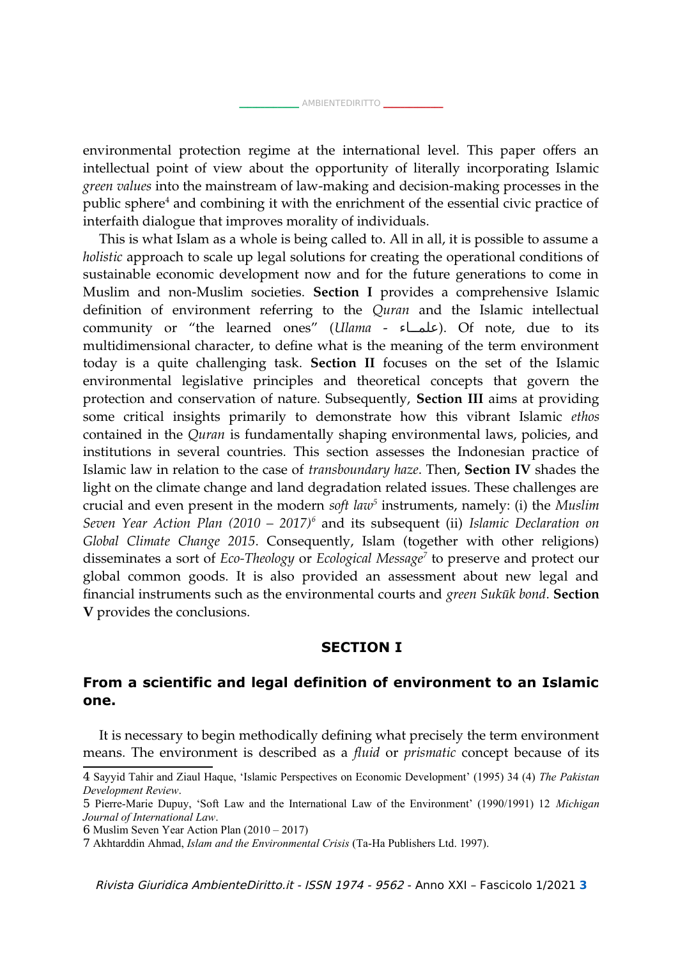environmental protection regime at the international level. This paper offers an intellectual point of view about the opportunity of literally incorporating Islamic *green values* into the mainstream of law-making and decision-making processes in the public sphere<sup>[4](#page-2-0)</sup> and combining it with the enrichment of the essential civic practice of interfaith dialogue that improves morality of individuals.

This is what Islam as a whole is being called to. All in all, it is possible to assume a *holistic* approach to scale up legal solutions for creating the operational conditions of sustainable economic development now and for the future generations to come in Muslim and non-Muslim societies. **Section I** provides a comprehensive Islamic definition of environment referring to the *Quran* and the Islamic intellectual community or "the learned ones" (*Ulama - علمــاء*). Of note, due to its multidimensional character, to define what is the meaning of the term environment today is a quite challenging task. **Section II** focuses on the set of the Islamic environmental legislative principles and theoretical concepts that govern the protection and conservation of nature. Subsequently, **Section III** aims at providing some critical insights primarily to demonstrate how this vibrant Islamic *ethos* contained in the *Quran* is fundamentally shaping environmental laws, policies, and institutions in several countries. This section assesses the Indonesian practice of Islamic law in relation to the case of *transboundary haze*. Then, **Section IV** shades the light on the climate change and land degradation related issues. These challenges are crucial and even present in the modern *soft law<sup>[5](#page-2-1)</sup>* instruments, namely: (i) the *Muslim Seven Year Action Plan (2010 – 2017)[6](#page-2-2)* and its subsequent (ii) *Islamic Declaration on Global Climate Change 2015*. Consequently, Islam (together with other religions) disseminates a sort of *Eco-Theology* or *Ecological Message[7](#page-2-3)* to preserve and protect our global common goods. It is also provided an assessment about new legal and financial instruments such as the environmental courts and *green Sukūk bond*. **Section V** provides the conclusions.

#### **SECTION I**

## **From a scientific and legal definition of environment to an Islamic one.**

It is necessary to begin methodically defining what precisely the term environment means. The environment is described as a *fluid* or *prismatic* concept because of its

<span id="page-2-0"></span><sup>4</sup> Sayyid Tahir and Ziaul Haque, 'Islamic Perspectives on Economic Development' (1995) 34 (4) *The Pakistan Development Review*.

<span id="page-2-1"></span><sup>5</sup> Pierre-Marie Dupuy, 'Soft Law and the International Law of the Environment' (1990/1991) 12 *Michigan Journal of International Law*.

<span id="page-2-2"></span><sup>6</sup> Muslim Seven Year Action Plan (2010 – 2017)

<span id="page-2-3"></span><sup>7</sup> Akhtarddin Ahmad, *Islam and the Environmental Crisis* (Ta-Ha Publishers Ltd. 1997).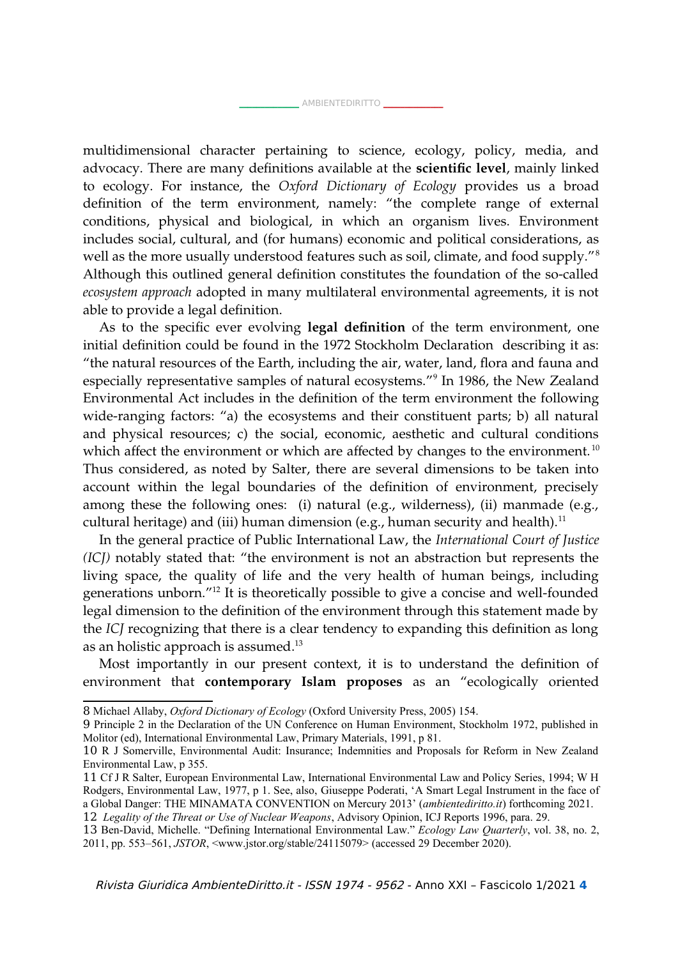multidimensional character pertaining to science, ecology, policy, media, and advocacy. There are many definitions available at the **scientific level**, mainly linked to ecology. For instance, the *Oxford Dictionary of Ecology* provides us a broad definition of the term environment, namely: "the complete range of external conditions, physical and biological, in which an organism lives. Environment includes social, cultural, and (for humans) economic and political considerations, as well as the more usually understood features such as soil, climate, and food supply."[8](#page-3-0) Although this outlined general definition constitutes the foundation of the so-called *ecosystem approach* adopted in many multilateral environmental agreements, it is not able to provide a legal definition.

\_ [AMBIENTEDIRITTO](http://www.AMBIENTEDIRITTO.it/) \_\_\_

As to the specific ever evolving **legal definition** of the term environment, one initial definition could be found in the 1972 Stockholm Declaration describing it as: "the natural resources of the Earth, including the air, water, land, flora and fauna and especially representative samples of natural ecosystems."[9](#page-3-1) In 1986, the New Zealand Environmental Act includes in the definition of the term environment the following wide-ranging factors: "a) the ecosystems and their constituent parts; b) all natural and physical resources; c) the social, economic, aesthetic and cultural conditions which affect the environment or which are affected by changes to the environment.<sup>[10](#page-3-2)</sup> Thus considered, as noted by Salter, there are several dimensions to be taken into account within the legal boundaries of the definition of environment, precisely among these the following ones: (i) natural (e.g., wilderness), (ii) manmade (e.g., cultural heritage) and (iii) human dimension (e.g., human security and health).<sup>[11](#page-3-3)</sup>

In the general practice of Public International Law, the *International Court of Justice (ICJ)* notably stated that: "the environment is not an abstraction but represents the living space, the quality of life and the very health of human beings, including generations unborn."[12](#page-3-4) It is theoretically possible to give a concise and well-founded legal dimension to the definition of the environment through this statement made by the *ICJ* recognizing that there is a clear tendency to expanding this definition as long as an holistic approach is assumed. [13](#page-3-5)

Most importantly in our present context, it is to understand the definition of environment that **contemporary Islam proposes** as an "ecologically oriented

<span id="page-3-0"></span><sup>8</sup> Michael Allaby, *Oxford Dictionary of Ecology* (Oxford University Press, 2005) 154.

<span id="page-3-1"></span><sup>9</sup> Principle 2 in the Declaration of the UN Conference on Human Environment, Stockholm 1972, published in Molitor (ed), International Environmental Law, Primary Materials, 1991, p 81.

<span id="page-3-2"></span><sup>10</sup> R J Somerville, Environmental Audit: Insurance; Indemnities and Proposals for Reform in New Zealand Environmental Law, p 355.

<span id="page-3-3"></span><sup>11</sup> Cf J R Salter, European Environmental Law, International Environmental Law and Policy Series, 1994; W H Rodgers, Environmental Law, 1977, p 1. See, also, Giuseppe Poderati, 'A Smart Legal Instrument in the face of a Global Danger: THE MINAMATA CONVENTION on Mercury 2013' (*ambientediritto.it*) forthcoming 2021.

<span id="page-3-4"></span><sup>12</sup> *Legality of the Threat or Use of Nuclear Weapons*, Advisory Opinion, ICJ Reports 1996, para. 29.

<span id="page-3-5"></span><sup>13</sup> Ben-David, Michelle. "Defining International Environmental Law." *Ecology Law Quarterly*, vol. 38, no. 2, 2011, pp. 553–561, *JSTOR*, <www.jstor.org/stable/24115079> (accessed 29 December 2020).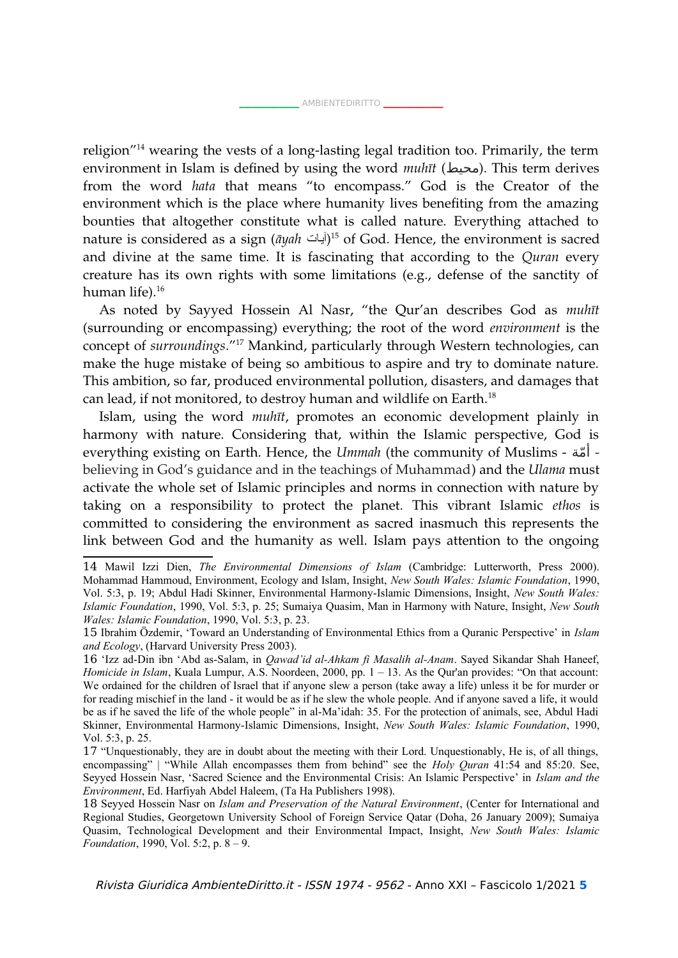religion"[14](#page-4-0) wearing the vests of a long-lasting legal tradition too. Primarily, the term environment in Islam is defined by using the word *muhīt* (محيط). This term derives from the word *hata* that means "to encompass." God is the Creator of the environment which is the place where humanity lives benefiting from the amazing bounties that altogether constitute what is called nature. Everything attached to nature is considered as a sign (*āyah* آبات) $^{15}$  $^{15}$  $^{15}$  of God. Hence, the environment is sacred and divine at the same time. It is fascinating that according to the *Quran* every creature has its own rights with some limitations (e.g., defense of the sanctity of human life).<sup>[16](#page-4-2)</sup>

As noted by Sayyed Hossein Al Nasr, "the Qur'an describes God as *muhīt* (surrounding or encompassing) everything; the root of the word *environment* is the concept of *surroundings*."[17](#page-4-3) Mankind, particularly through Western technologies, can make the huge mistake of being so ambitious to aspire and try to dominate nature. This ambition, so far, produced environmental pollution, disasters, and damages that can lead, if not monitored, to destroy human and wildlife on Earth.<sup>[18](#page-4-4)</sup>

Islam, using the word *muhīt*, promotes an economic development plainly in harmony with nature. Considering that, within the Islamic perspective, God is everything existing on Earth. Hence, the *Ummah* (the community of Muslims - أمة ّ believing in God's guidance and in the teachings of Muhammad) and the *Ulama* must activate the whole set of Islamic principles and norms in connection with nature by taking on a responsibility to protect the planet. This vibrant Islamic *ethos* is committed to considering the environment as sacred inasmuch this represents the link between God and the humanity as well. Islam pays attention to the ongoing

<span id="page-4-0"></span><sup>14</sup> Mawil Izzi Dien, *The Environmental Dimensions of Islam* (Cambridge: Lutterworth, Press 2000). Mohammad Hammoud, Environment, Ecology and Islam, Insight, *New South Wales: Islamic Foundation*, 1990, Vol. 5:3, p. 19; Abdul Hadi Skinner, Environmental Harmony-Islamic Dimensions, Insight, *New South Wales: Islamic Foundation*, 1990, Vol. 5:3, p. 25; Sumaiya Quasim, Man in Harmony with Nature, Insight, *New South Wales: Islamic Foundation*, 1990, Vol. 5:3, p. 23.

<span id="page-4-1"></span><sup>15</sup> Ibrahim Özdemir, 'Toward an Understanding of Environmental Ethics from a Quranic Perspective' in *Islam and Ecology*, (Harvard University Press 2003).

<span id="page-4-2"></span><sup>16</sup> 'Izz ad-Din ibn 'Abd as-Salam, in *Qawad'id al-Ahkam fi Masalih al-Anam*. Sayed Sikandar Shah Haneef, *Homicide in Islam*, Kuala Lumpur, A.S. Noordeen, 2000, pp. 1 – 13. As the Qur'an provides: "On that account: We ordained for the children of Israel that if anyone slew a person (take away a life) unless it be for murder or for reading mischief in the land - it would be as if he slew the whole people. And if anyone saved a life, it would be as if he saved the life of the whole people" in al-Ma'idah: 35. For the protection of animals, see, Abdul Hadi Skinner, Environmental Harmony-Islamic Dimensions, Insight, *New South Wales: Islamic Foundation*, 1990, Vol. 5:3, p. 25.

<span id="page-4-3"></span><sup>17</sup> "Unquestionably, they are in doubt about the meeting with their Lord. Unquestionably, He is, of all things, encompassing" | "While Allah encompasses them from behind" see the *Holy Quran* 41:54 and 85:20. See, Seyyed Hossein Nasr, 'Sacred Science and the Environmental Crisis: An Islamic Perspective' in *Islam and the Environment*, Ed. Harfiyah Abdel Haleem, (Ta Ha Publishers 1998).

<span id="page-4-4"></span><sup>18</sup> Seyyed Hossein Nasr on *Islam and Preservation of the Natural Environment*, (Center for International and Regional Studies, Georgetown University School of Foreign Service Qatar (Doha, 26 January 2009); Sumaiya Quasim, Technological Development and their Environmental Impact, Insight, *New South Wales: Islamic Foundation*, 1990, Vol. 5:2, p. 8 – 9.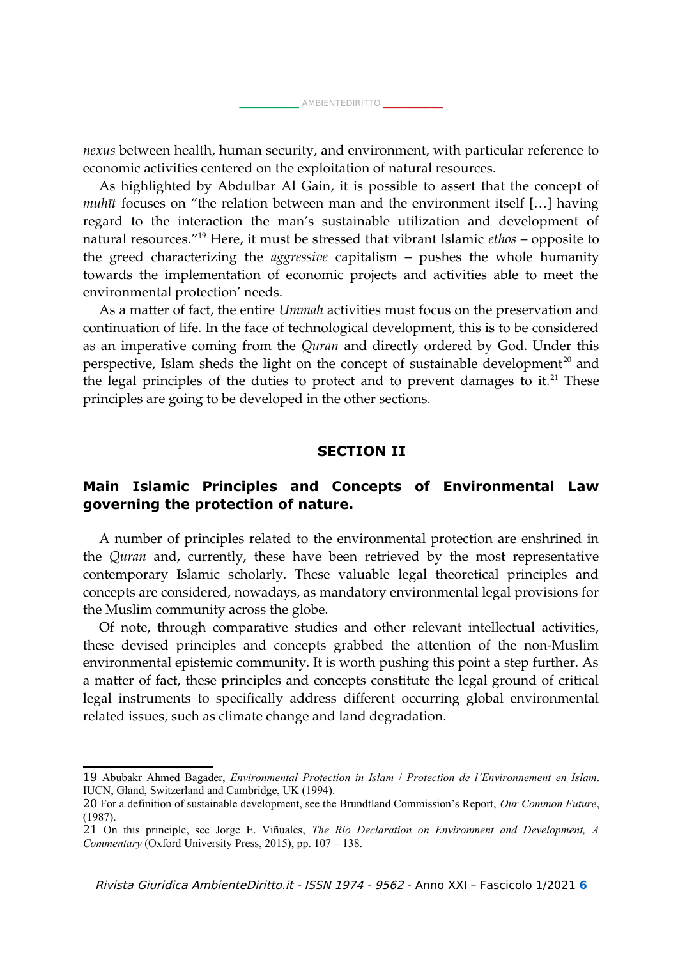*nexus* between health, human security, and environment, with particular reference to economic activities centered on the exploitation of natural resources.

As highlighted by Abdulbar Al Gain, it is possible to assert that the concept of *muhīt* focuses on "the relation between man and the environment itself [...] having regard to the interaction the man's sustainable utilization and development of natural resources."[19](#page-5-0) Here, it must be stressed that vibrant Islamic *ethos* – opposite to the greed characterizing the *aggressive* capitalism – pushes the whole humanity towards the implementation of economic projects and activities able to meet the environmental protection' needs.

As a matter of fact, the entire *Ummah* activities must focus on the preservation and continuation of life. In the face of technological development, this is to be considered as an imperative coming from the *Quran* and directly ordered by God. Under this perspective, Islam sheds the light on the concept of sustainable development<sup>[20](#page-5-1)</sup> and the legal principles of the duties to protect and to prevent damages to it.<sup>[21](#page-5-2)</sup> These principles are going to be developed in the other sections.

#### **SECTION II**

## **Main Islamic Principles and Concepts of Environmental Law governing the protection of nature.**

A number of principles related to the environmental protection are enshrined in the *Quran* and, currently, these have been retrieved by the most representative contemporary Islamic scholarly. These valuable legal theoretical principles and concepts are considered, nowadays, as mandatory environmental legal provisions for the Muslim community across the globe.

Of note, through comparative studies and other relevant intellectual activities, these devised principles and concepts grabbed the attention of the non-Muslim environmental epistemic community. It is worth pushing this point a step further. As a matter of fact, these principles and concepts constitute the legal ground of critical legal instruments to specifically address different occurring global environmental related issues, such as climate change and land degradation.

<span id="page-5-0"></span><sup>19</sup> Abubakr Ahmed Bagader, *Environmental Protection in Islam* / *Protection de l'Environnement en Islam*. IUCN, Gland, Switzerland and Cambridge, UK (1994).

<span id="page-5-1"></span><sup>20</sup> For a definition of sustainable development, see the Brundtland Commission's Report, *Our Common Future*, (1987).

<span id="page-5-2"></span><sup>21</sup> On this principle, see Jorge E. Viñuales, *The Rio Declaration on Environment and Development, A Commentary* (Oxford University Press, 2015), pp. 107 – 138.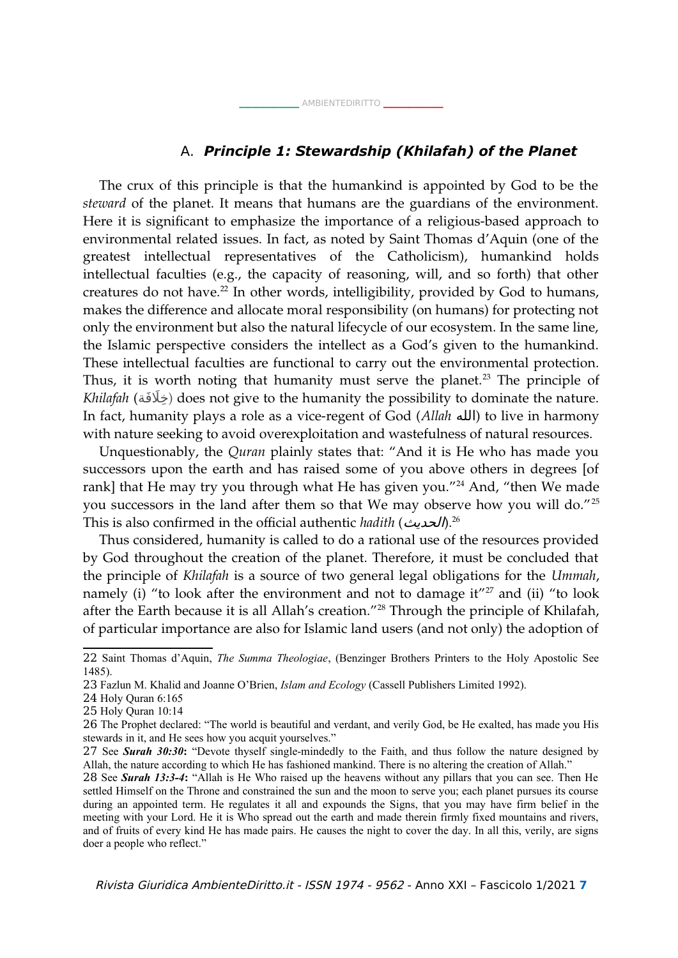## A. *Principle 1: Stewardship (Khilafah) of the Planet*

\_ [AMBIENTEDIRITTO](http://www.AMBIENTEDIRITTO.it/) <mark>\_\_\_</mark>

The crux of this principle is that the humankind is appointed by God to be the *steward* of the planet. It means that humans are the guardians of the environment. Here it is significant to emphasize the importance of a religious-based approach to environmental related issues. In fact, as noted by Saint Thomas d'Aquin (one of the greatest intellectual representatives of the Catholicism), humankind holds intellectual faculties (e.g., the capacity of reasoning, will, and so forth) that other creatures do not have. $^{22}$  $^{22}$  $^{22}$  In other words, intelligibility, provided by God to humans, makes the difference and allocate moral responsibility (on humans) for protecting not only the environment but also the natural lifecycle of our ecosystem. In the same line, the Islamic perspective considers the intellect as a God's given to the humankind. These intellectual faculties are functional to carry out the environmental protection. Thus, it is worth noting that humanity must serve the planet.<sup>[23](#page-6-1)</sup> The principle of *Khilafah* (خَلَافَة) does not give to the humanity the possibility to dominate the nature. In fact, humanity plays a role as a vice-regent of God (*Allah* الله (to live in harmony with nature seeking to avoid overexploitation and wastefulness of natural resources.

Unquestionably, the *Quran* plainly states that: "And it is He who has made you successors upon the earth and has raised some of you above others in degrees [of rank] that He may try you through what He has given you."<sup>[24](#page-6-2)</sup> And, "then We made you successors in the land after them so that We may observe how you will do."[25](#page-6-3) This is also confirmed in the official authentic *hadith (الحديث).<sup>[26](#page-6-4)</sup>* 

Thus considered, humanity is called to do a rational use of the resources provided by God throughout the creation of the planet. Therefore, it must be concluded that the principle of *Khilafah* is a source of two general legal obligations for the *Ummah*, namely (i) "to look after the environment and not to damage  $it''^{27}$  $it''^{27}$  $it''^{27}$  and (ii) "to look after the Earth because it is all Allah's creation."[28](#page-6-6) Through the principle of Khilafah, of particular importance are also for Islamic land users (and not only) the adoption of

<span id="page-6-0"></span><sup>22</sup> Saint Thomas d'Aquin, *The Summa Theologiae*, (Benzinger Brothers Printers to the Holy Apostolic See 1485).

<span id="page-6-1"></span><sup>23</sup> Fazlun M. Khalid and Joanne O'Brien, *Islam and Ecology* (Cassell Publishers Limited 1992).

<span id="page-6-2"></span><sup>24</sup> Holy Quran 6:165

<span id="page-6-3"></span><sup>25</sup> Holy Quran 10:14

<span id="page-6-4"></span><sup>26</sup> The Prophet declared: "The world is beautiful and verdant, and verily God, be He exalted, has made you His stewards in it, and He sees how you acquit yourselves."

<span id="page-6-5"></span><sup>27</sup> See *Surah 30:30***:** "Devote thyself single-mindedly to the Faith, and thus follow the nature designed by Allah, the nature according to which He has fashioned mankind. There is no altering the creation of Allah."

<span id="page-6-6"></span><sup>28</sup> See *Surah 13:3-4***:** "Allah is He Who raised up the heavens without any pillars that you can see. Then He settled Himself on the Throne and constrained the sun and the moon to serve you; each planet pursues its course during an appointed term. He regulates it all and expounds the Signs, that you may have firm belief in the meeting with your Lord. He it is Who spread out the earth and made therein firmly fixed mountains and rivers, and of fruits of every kind He has made pairs. He causes the night to cover the day. In all this, verily, are signs doer a people who reflect."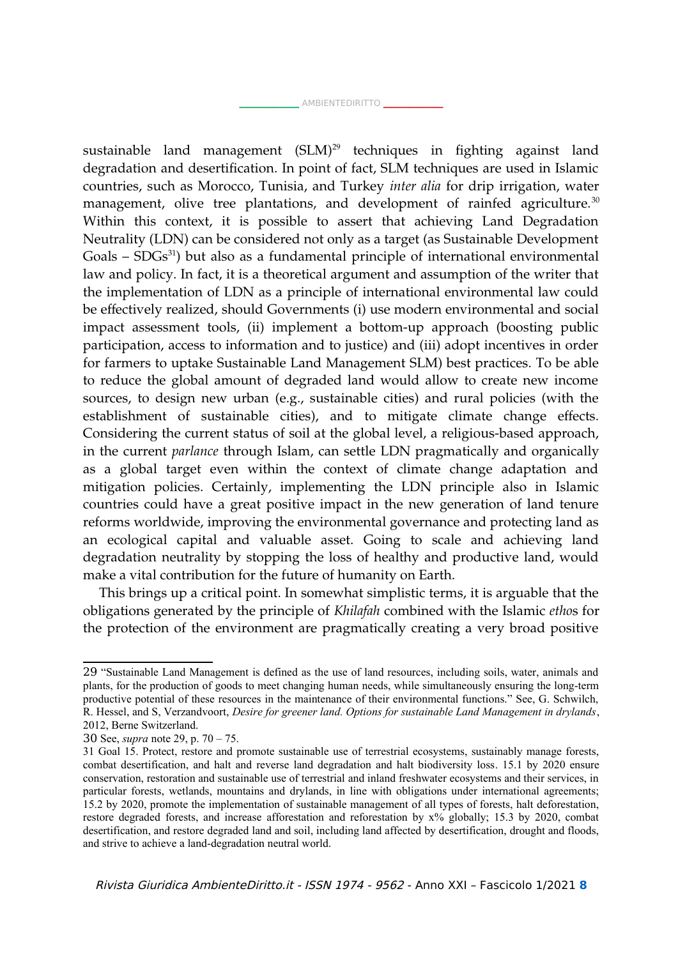sustainable land management  $(SLM)^{29}$  $(SLM)^{29}$  $(SLM)^{29}$  techniques in fighting against land degradation and desertification. In point of fact, SLM techniques are used in Islamic countries, such as Morocco, Tunisia, and Turkey *inter alia* for drip irrigation, water management, olive tree plantations, and development of rainfed agriculture.<sup>[30](#page-7-1)</sup> Within this context, it is possible to assert that achieving Land Degradation Neutrality (LDN) can be considered not only as a target (as Sustainable Development  $Goals - SDGs<sup>31</sup>$  $Goals - SDGs<sup>31</sup>$  $Goals - SDGs<sup>31</sup>$  but also as a fundamental principle of international environmental law and policy. In fact, it is a theoretical argument and assumption of the writer that the implementation of LDN as a principle of international environmental law could be effectively realized, should Governments (i) use modern environmental and social impact assessment tools, (ii) implement a bottom-up approach (boosting public participation, access to information and to justice) and (iii) adopt incentives in order for farmers to uptake Sustainable Land Management SLM) best practices. To be able to reduce the global amount of degraded land would allow to create new income sources, to design new urban (e.g., sustainable cities) and rural policies (with the establishment of sustainable cities), and to mitigate climate change effects. Considering the current status of soil at the global level, a religious-based approach, in the current *parlance* through Islam, can settle LDN pragmatically and organically as a global target even within the context of climate change adaptation and mitigation policies. Certainly, implementing the LDN principle also in Islamic countries could have a great positive impact in the new generation of land tenure reforms worldwide, improving the environmental governance and protecting land as an ecological capital and valuable asset. Going to scale and achieving land degradation neutrality by stopping the loss of healthy and productive land, would make a vital contribution for the future of humanity on Earth.

This brings up a critical point. In somewhat simplistic terms, it is arguable that the obligations generated by the principle of *Khilafah* combined with the Islamic *etho*s for the protection of the environment are pragmatically creating a very broad positive

<span id="page-7-0"></span><sup>29</sup> "Sustainable Land Management is defined as the use of land resources, including soils, water, animals and plants, for the production of goods to meet changing human needs, while simultaneously ensuring the long-term productive potential of these resources in the maintenance of their environmental functions." See, G. Schwilch, R. Hessel, and S, Verzandvoort, *Desire for greener land. Options for sustainable Land Management in drylands*, 2012, Berne Switzerland.

<span id="page-7-1"></span><sup>30</sup> See, *supra* note 29, p. 70 – 75.

<span id="page-7-2"></span><sup>31</sup> Goal 15. Protect, restore and promote sustainable use of terrestrial ecosystems, sustainably manage forests, combat desertification, and halt and reverse land degradation and halt biodiversity loss. 15.1 by 2020 ensure conservation, restoration and sustainable use of terrestrial and inland freshwater ecosystems and their services, in particular forests, wetlands, mountains and drylands, in line with obligations under international agreements; 15.2 by 2020, promote the implementation of sustainable management of all types of forests, halt deforestation, restore degraded forests, and increase afforestation and reforestation by x% globally; 15.3 by 2020, combat desertification, and restore degraded land and soil, including land affected by desertification, drought and floods, and strive to achieve a land-degradation neutral world.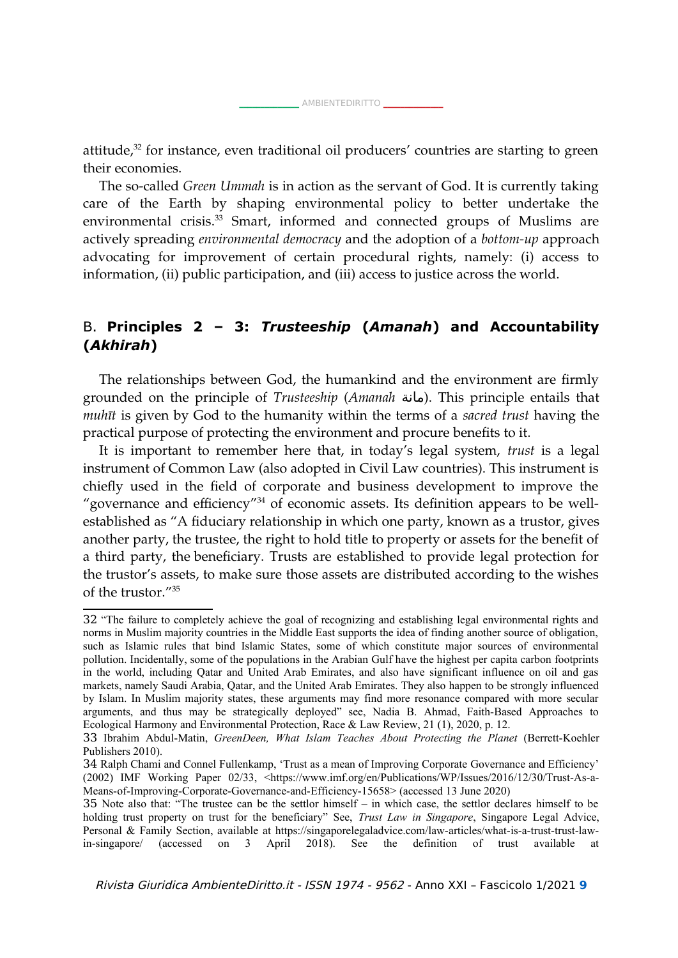attitude,<sup>[32](#page-8-0)</sup> for instance, even traditional oil producers' countries are starting to green their economies.

The so-called *Green Ummah* is in action as the servant of God. It is currently taking care of the Earth by shaping environmental policy to better undertake the environmental crisis.<sup>[33](#page-8-1)</sup> Smart, informed and connected groups of Muslims are actively spreading *environmental democracy* and the adoption of a *bottom-up* approach advocating for improvement of certain procedural rights, namely: (i) access to information, (ii) public participation, and (iii) access to justice across the world.

# B. **Principles 2 – 3:** *Trusteeship* **(***Amanah***) and Accountability (***Akhirah***)**

The relationships between God, the humankind and the environment are firmly grounded on the principle of *Trusteeship* (*Amanah* مانة(. This principle entails that *muhīt* is given by God to the humanity within the terms of a *sacred trust* having the practical purpose of protecting the environment and procure benefits to it.

It is important to remember here that, in today's legal system, *trust* is a legal instrument of Common Law (also adopted in Civil Law countries). This instrument is chiefly used in the field of corporate and business development to improve the "governance and efficiency" $34$  of economic assets. Its definition appears to be wellestablished as "A fiduciary relationship in which one party, known as a trustor, gives another party, the trustee, the right to hold title to property or assets for the benefit of a third party, the beneficiary. Trusts are established to provide legal protection for the trustor's assets, to make sure those assets are distributed according to the wishes of the trustor."[35](#page-8-3)

<span id="page-8-0"></span><sup>32</sup> "The failure to completely achieve the goal of recognizing and establishing legal environmental rights and norms in Muslim majority countries in the Middle East supports the idea of finding another source of obligation, such as Islamic rules that bind Islamic States, some of which constitute major sources of environmental pollution. Incidentally, some of the populations in the Arabian Gulf have the highest per capita carbon footprints in the world, including Qatar and United Arab Emirates, and also have significant influence on oil and gas markets, namely Saudi Arabia, Qatar, and the United Arab Emirates. They also happen to be strongly influenced by Islam. In Muslim majority states, these arguments may find more resonance compared with more secular arguments, and thus may be strategically deployed" see, Nadia B. Ahmad, Faith-Based Approaches to Ecological Harmony and Environmental Protection, Race & Law Review, 21 (1), 2020, p. 12.

<span id="page-8-1"></span><sup>33</sup> Ibrahim Abdul-Matin, *GreenDeen, What Islam Teaches About Protecting the Planet* (Berrett-Koehler Publishers 2010).

<span id="page-8-2"></span><sup>34</sup> Ralph Chami and Connel Fullenkamp, 'Trust as a mean of Improving Corporate Governance and Efficiency' (2002) IMF Working Paper 02/33, <https://www.imf.org/en/Publications/WP/Issues/2016/12/30/Trust-As-a-Means-of-Improving-Corporate-Governance-and-Efficiency-15658> (accessed 13 June 2020)

<span id="page-8-3"></span><sup>35</sup> Note also that: "The trustee can be the settlor himself – in which case, the settlor declares himself to be holding trust property on trust for the beneficiary" See, *Trust Law in Singapore*, Singapore Legal Advice, Personal & Family Section, available at https://singaporelegaladvice.com/law-articles/what-is-a-trust-trust-lawin-singapore/ (accessed on 3 April 2018). See the definition of trust available at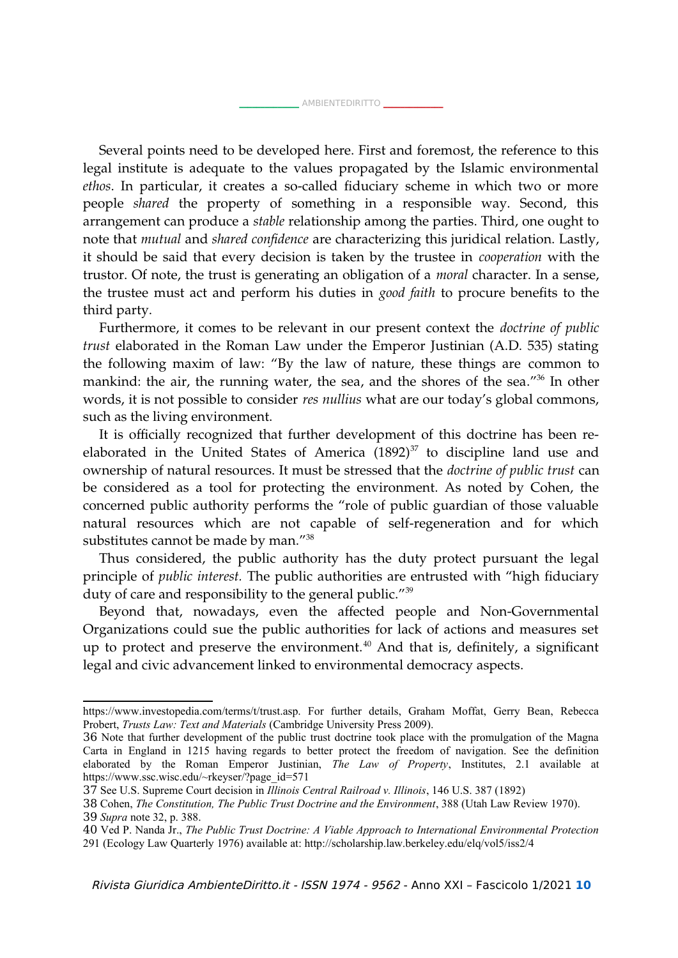Several points need to be developed here. First and foremost, the reference to this legal institute is adequate to the values propagated by the Islamic environmental *ethos*. In particular, it creates a so-called fiduciary scheme in which two or more people *shared* the property of something in a responsible way. Second, this arrangement can produce a *stable* relationship among the parties. Third, one ought to note that *mutual* and *shared confidence* are characterizing this juridical relation. Lastly, it should be said that every decision is taken by the trustee in *cooperation* with the trustor. Of note, the trust is generating an obligation of a *moral* character. In a sense, the trustee must act and perform his duties in *good faith* to procure benefits to the third party.

Furthermore, it comes to be relevant in our present context the *doctrine of public trust* elaborated in the Roman Law under the Emperor Justinian (A.D. 535) stating the following maxim of law: "By the law of nature, these things are common to mankind: the air, the running water, the sea, and the shores of the sea.<sup>"[36](#page-9-0)</sup> In other words, it is not possible to consider *res nullius* what are our today's global commons, such as the living environment.

It is officially recognized that further development of this doctrine has been reelaborated in the United States of America  $(1892)^{37}$  $(1892)^{37}$  $(1892)^{37}$  to discipline land use and ownership of natural resources. It must be stressed that the *doctrine of public trust* can be considered as a tool for protecting the environment. As noted by Cohen, the concerned public authority performs the "role of public guardian of those valuable natural resources which are not capable of self-regeneration and for which substitutes cannot be made by man."[38](#page-9-2)

Thus considered, the public authority has the duty protect pursuant the legal principle of *public interest.* The public authorities are entrusted with "high fiduciary duty of care and responsibility to the general public."<sup>[39](#page-9-3)</sup>

Beyond that, nowadays, even the affected people and Non-Governmental Organizations could sue the public authorities for lack of actions and measures set up to protect and preserve the environment. $40$  And that is, definitely, a significant legal and civic advancement linked to environmental democracy aspects.

https://www.investopedia.com/terms/t/trust.asp. For further details, Graham Moffat, Gerry Bean, Rebecca Probert, *Trusts Law: Text and Materials* (Cambridge University Press 2009).

<span id="page-9-0"></span><sup>36</sup> Note that further development of the public trust doctrine took place with the promulgation of the Magna Carta in England in 1215 having regards to better protect the freedom of navigation. See the definition elaborated by the Roman Emperor Justinian, *The Law of Property*, Institutes, 2.1 available at https://www.ssc.wisc.edu/~rkeyser/?page\_id=571

<span id="page-9-1"></span><sup>37</sup> See U.S. Supreme Court decision in *Illinois Central Railroad v. Illinois*, 146 U.S. 387 (1892)

<span id="page-9-3"></span><span id="page-9-2"></span><sup>38</sup> Cohen, *The Constitution, The Public Trust Doctrine and the Environment*, 388 (Utah Law Review 1970). 39 *Supra* note 32, p. 388.

<span id="page-9-4"></span><sup>40</sup> Ved P. Nanda Jr., *The Public Trust Doctrine: A Viable Approach to International Environmental Protection* 291 (Ecology Law Quarterly 1976) available at: http://scholarship.law.berkeley.edu/elq/vol5/iss2/4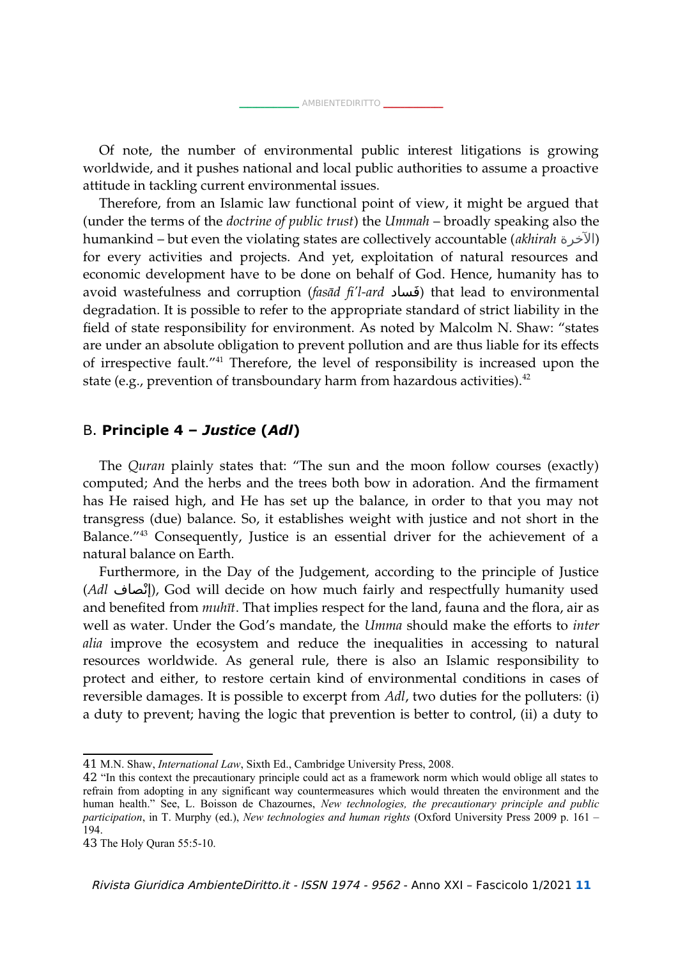Of note, the number of environmental public interest litigations is growing worldwide, and it pushes national and local public authorities to assume a proactive attitude in tackling current environmental issues.

Therefore, from an Islamic law functional point of view, it might be argued that (under the terms of the *doctrine of public trust*) the *Ummah* – broadly speaking also the humankind – but even the violating states are collectively accountable (*akhirah* اآلخرة( for every activities and projects. And yet, exploitation of natural resources and economic development have to be done on behalf of God. Hence, humanity has to avoid wastefulness and corruption (*fasād fi'l-ard* (فَسادَ) that lead to environmental degradation. It is possible to refer to the appropriate standard of strict liability in the field of state responsibility for environment. As noted by Malcolm N. Shaw: "states are under an absolute obligation to prevent pollution and are thus liable for its effects of irrespective fault."[41](#page-10-0) Therefore, the level of responsibility is increased upon the state (e.g., prevention of transboundary harm from hazardous activities).<sup>[42](#page-10-1)</sup>

## B. **Principle 4 –** *Justice* **(***Adl***)**

The *Quran* plainly states that: "The sun and the moon follow courses (exactly) computed; And the herbs and the trees both bow in adoration. And the firmament has He raised high, and He has set up the balance, in order to that you may not transgress (due) balance. So, it establishes weight with justice and not short in the Balance."[43](#page-10-2) Consequently, Justice is an essential driver for the achievement of a natural balance on Earth.

Furthermore, in the Day of the Judgement, according to the principle of Justice (*Adl* الصاف), God will decide on how much fairly and respectfully humanity used and benefited from *muhīt*. That implies respect for the land, fauna and the flora, air as well as water. Under the God's mandate, the *Umma* should make the efforts to *inter alia* improve the ecosystem and reduce the inequalities in accessing to natural resources worldwide. As general rule, there is also an Islamic responsibility to protect and either, to restore certain kind of environmental conditions in cases of reversible damages. It is possible to excerpt from *Adl*, two duties for the polluters: (i) a duty to prevent; having the logic that prevention is better to control, (ii) a duty to

<span id="page-10-0"></span><sup>41</sup> M.N. Shaw, *International Law*, Sixth Ed., Cambridge University Press, 2008.

<span id="page-10-1"></span><sup>42</sup> "In this context the precautionary principle could act as a framework norm which would oblige all states to refrain from adopting in any significant way countermeasures which would threaten the environment and the human health." See, L. Boisson de Chazournes, *New technologies, the precautionary principle and public participation*, in T. Murphy (ed.), *New technologies and human rights* (Oxford University Press 2009 p. 161 – 194.

<span id="page-10-2"></span><sup>43</sup> The Holy Quran 55:5-10.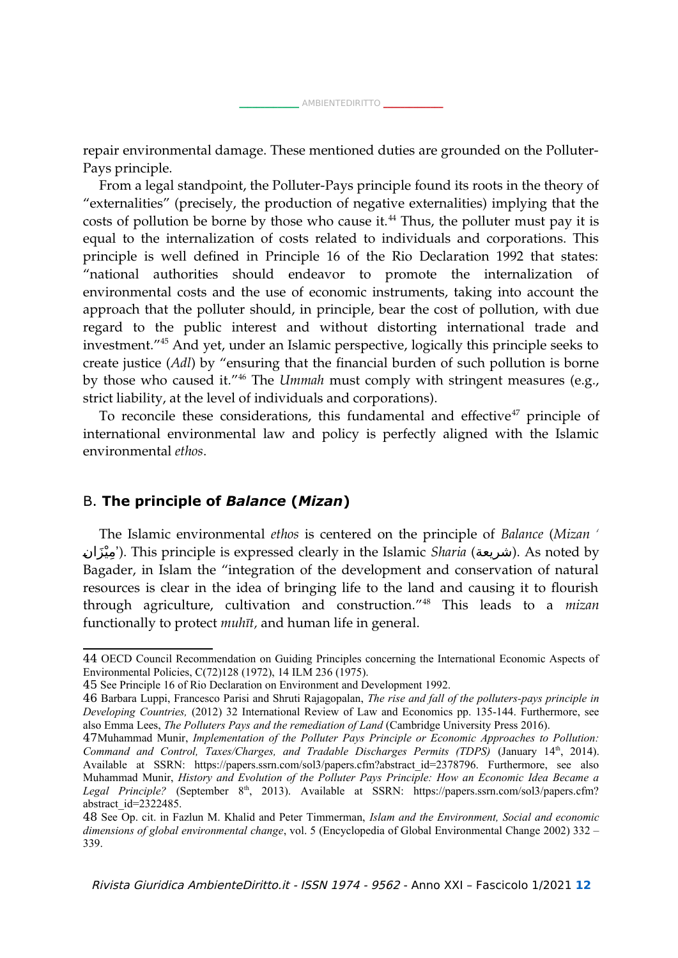$\_$  [AMBIENTEDIRITTO](http://www.AMBIENTEDIRITTO.it/)  $\_$ 

repair environmental damage. These mentioned duties are grounded on the Polluter-Pays principle.

From a legal standpoint, the Polluter-Pays principle found its roots in the theory of "externalities" (precisely, the production of negative externalities) implying that the costs of pollution be borne by those who cause it.<sup>[44](#page-11-0)</sup> Thus, the polluter must pay it is equal to the internalization of costs related to individuals and corporations. This principle is well defined in Principle 16 of the Rio Declaration 1992 that states: "national authorities should endeavor to promote the internalization of environmental costs and the use of economic instruments, taking into account the approach that the polluter should, in principle, bear the cost of pollution, with due regard to the public interest and without distorting international trade and investment."[45](#page-11-1) And yet, under an Islamic perspective, logically this principle seeks to create justice (*Adl*) by "ensuring that the financial burden of such pollution is borne by those who caused it."[46](#page-11-2) The *Ummah* must comply with stringent measures (e.g., strict liability, at the level of individuals and corporations).

To reconcile these considerations, this fundamental and effective<sup>[47](#page-11-3)</sup> principle of international environmental law and policy is perfectly aligned with the Islamic environmental *ethos*.

## B. **The principle of** *Balance* **(***Mizan***)**

The Islamic environmental *ethos* is centered on the principle of *Balance* (*Mizan* ' نشريعة). This principle is expressed clearly in the Islamic *Sharia* (مشريعة). As noted by Bagader, in Islam the "integration of the development and conservation of natural resources is clear in the idea of bringing life to the land and causing it to flourish through agriculture, cultivation and construction."[48](#page-11-4) This leads to a *mizan* functionally to protect *muhīt,* and human life in general.

<span id="page-11-0"></span><sup>44</sup> OECD Council Recommendation on Guiding Principles concerning the International Economic Aspects of Environmental Policies, C(72)128 (1972), 14 ILM 236 (1975).

<span id="page-11-1"></span><sup>45</sup> See Principle 16 of Rio Declaration on Environment and Development 1992.

<span id="page-11-2"></span><sup>46</sup> Barbara Luppi, Francesco Parisi and Shruti Rajagopalan, *The rise and fall of the polluters-pays principle in Developing Countries,* (2012) 32 International Review of Law and Economics pp. 135-144. Furthermore, see also Emma Lees, *The Polluters Pays and the remediation of Land* (Cambridge University Press 2016).

<span id="page-11-3"></span><sup>47</sup>Muhammad Munir, *Implementation of the Polluter Pays Principle or Economic Approaches to Pollution: Command and Control, Taxes/Charges, and Tradable Discharges Permits (TDPS)* (January 14<sup>th</sup>, 2014). Available at SSRN: https://papers.ssrn.com/sol3/papers.cfm?abstract\_id=2378796. Furthermore, see also Muhammad Munir, *History and Evolution of the Polluter Pays Principle: How an Economic Idea Became a* Legal Principle? (September 8<sup>th</sup>, 2013). Available at SSRN: https://papers.ssrn.com/sol3/papers.cfm? abstract\_id=2322485.

<span id="page-11-4"></span><sup>48</sup> See Op. cit. in Fazlun M. Khalid and Peter Timmerman, *Islam and the Environment, Social and economic dimensions of global environmental change*, vol. 5 (Encyclopedia of Global Environmental Change 2002) 332 – 339.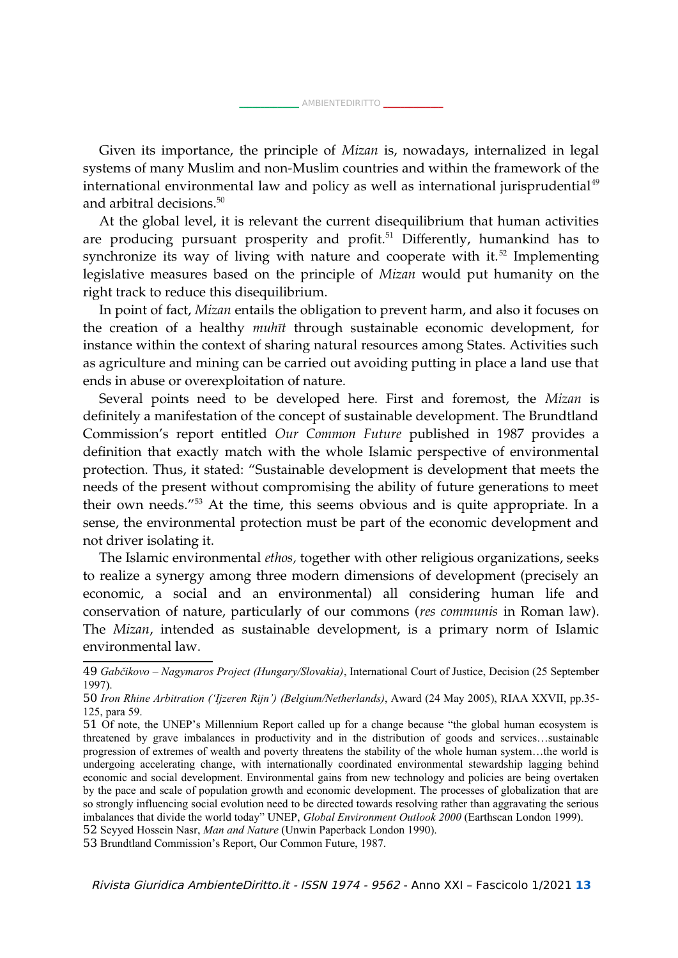Given its importance, the principle of *Mizan* is, nowadays, internalized in legal systems of many Muslim and non-Muslim countries and within the framework of the international environmental law and policy as well as international jurisprudential<sup>[49](#page-12-0)</sup> and arbitral decisions.<sup>[50](#page-12-1)</sup>

At the global level, it is relevant the current disequilibrium that human activities are producing pursuant prosperity and profit.<sup>[51](#page-12-2)</sup> Differently, humankind has to synchronize its way of living with nature and cooperate with it. $52$  Implementing legislative measures based on the principle of *Mizan* would put humanity on the right track to reduce this disequilibrium.

In point of fact, *Mizan* entails the obligation to prevent harm, and also it focuses on the creation of a healthy *muhīt* through sustainable economic development, for instance within the context of sharing natural resources among States. Activities such as agriculture and mining can be carried out avoiding putting in place a land use that ends in abuse or overexploitation of nature.

Several points need to be developed here. First and foremost, the *Mizan* is definitely a manifestation of the concept of sustainable development. The Brundtland Commission's report entitled *Our Common Future* published in 1987 provides a definition that exactly match with the whole Islamic perspective of environmental protection. Thus, it stated: "Sustainable development is development that meets the needs of the present without compromising the ability of future generations to meet their own needs."[53](#page-12-4) At the time, this seems obvious and is quite appropriate. In a sense, the environmental protection must be part of the economic development and not driver isolating it.

The Islamic environmental *ethos,* together with other religious organizations, seeks to realize a synergy among three modern dimensions of development (precisely an economic, a social and an environmental) all considering human life and conservation of nature, particularly of our commons (*res communis* in Roman law). The *Mizan*, intended as sustainable development, is a primary norm of Islamic environmental law.

<span id="page-12-0"></span><sup>49</sup> *Gabčikovo – Nagymaros Project (Hungary/Slovakia)*, International Court of Justice, Decision (25 September 1997).

<span id="page-12-1"></span><sup>50</sup> *Iron Rhine Arbitration ('Ijzeren Rijn') (Belgium/Netherlands)*, Award (24 May 2005), RIAA XXVII, pp.35- 125, para 59.

<span id="page-12-2"></span><sup>51</sup> Of note, the UNEP's Millennium Report called up for a change because "the global human ecosystem is threatened by grave imbalances in productivity and in the distribution of goods and services…sustainable progression of extremes of wealth and poverty threatens the stability of the whole human system…the world is undergoing accelerating change, with internationally coordinated environmental stewardship lagging behind economic and social development. Environmental gains from new technology and policies are being overtaken by the pace and scale of population growth and economic development. The processes of globalization that are so strongly influencing social evolution need to be directed towards resolving rather than aggravating the serious imbalances that divide the world today" UNEP, *Global Environment Outlook 2000* (Earthscan London 1999).

<span id="page-12-3"></span><sup>52</sup> Seyyed Hossein Nasr, *Man and Nature* (Unwin Paperback London 1990).

<span id="page-12-4"></span><sup>53</sup> Brundtland Commission's Report, Our Common Future, 1987.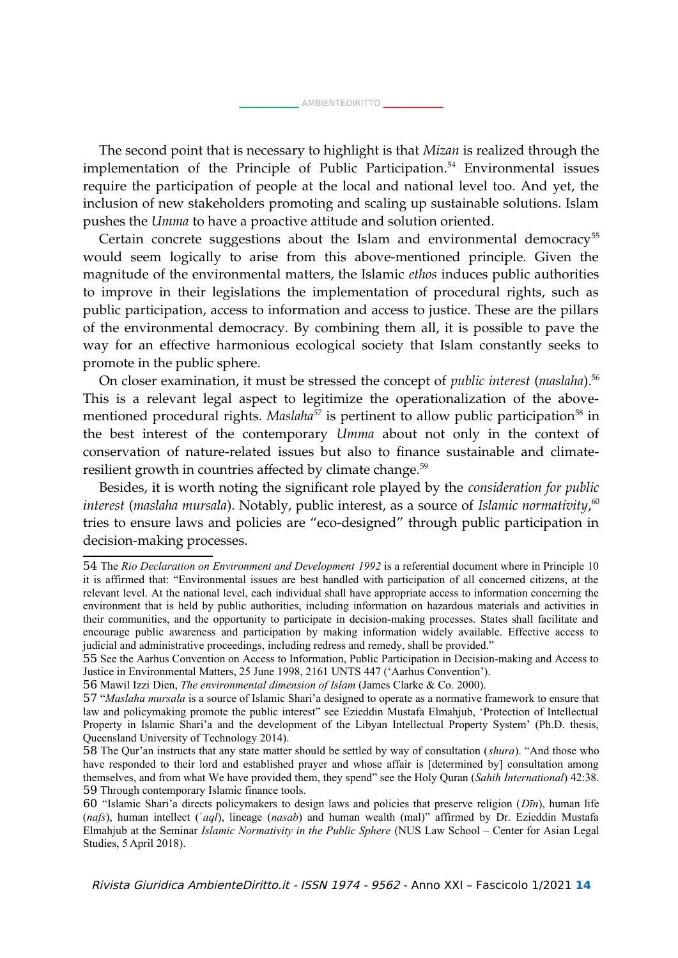The second point that is necessary to highlight is that *Mizan* is realized through the implementation of the Principle of Public Participation.<sup>[54](#page-13-0)</sup> Environmental issues require the participation of people at the local and national level too. And yet, the inclusion of new stakeholders promoting and scaling up sustainable solutions. Islam pushes the *Umma* to have a proactive attitude and solution oriented.

Certain concrete suggestions about the Islam and environmental democracy<sup>[55](#page-13-1)</sup> would seem logically to arise from this above-mentioned principle. Given the magnitude of the environmental matters, the Islamic *ethos* induces public authorities to improve in their legislations the implementation of procedural rights, such as public participation, access to information and access to justice. These are the pillars of the environmental democracy. By combining them all, it is possible to pave the way for an effective harmonious ecological society that Islam constantly seeks to promote in the public sphere.

On closer examination, it must be stressed the concept of *public interest* (*maslaha*).[56](#page-13-2) This is a relevant legal aspect to legitimize the operationalization of the abovementioned procedural rights. *Maslaha*<sup>[57](#page-13-3)</sup> is pertinent to allow public participation<sup>[58](#page-13-4)</sup> in the best interest of the contemporary *Umma* about not only in the context of conservation of nature-related issues but also to finance sustainable and climate-resilient growth in countries affected by climate change.<sup>[59](#page-13-5)</sup>

Besides, it is worth noting the significant role played by the *consideration for public interest* (*maslaha mursala*). Notably, public interest, as a source of *Islamic normativity*, [60](#page-13-6) tries to ensure laws and policies are "eco-designed" through public participation in decision-making processes.

<span id="page-13-0"></span><sup>54</sup> The *Rio Declaration on Environment and Development 1992* is a referential document where in Principle 10 it is affirmed that: "Environmental issues are best handled with participation of all concerned citizens, at the relevant level. At the national level, each individual shall have appropriate access to information concerning the environment that is held by public authorities, including information on hazardous materials and activities in their communities, and the opportunity to participate in decision-making processes. States shall facilitate and encourage public awareness and participation by making information widely available. Effective access to judicial and administrative proceedings, including redress and remedy, shall be provided."

<span id="page-13-1"></span><sup>55</sup> See the Aarhus Convention on Access to Information, Public Participation in Decision-making and Access to Justice in Environmental Matters, 25 June 1998, 2161 UNTS 447 ('Aarhus Convention').

<span id="page-13-2"></span><sup>56</sup> Mawil Izzi Dien, *The environmental dimension of Islam* (James Clarke & Co. 2000).

<span id="page-13-3"></span><sup>57</sup> "*Maslaha mursala* is a source of Islamic Shari'a designed to operate as a normative framework to ensure that law and policymaking promote the public interest" see Ezieddin Mustafa Elmahjub, 'Protection of Intellectual Property in Islamic Shari'a and the development of the Libyan Intellectual Property System' (Ph.D. thesis, Queensland University of Technology 2014).

<span id="page-13-4"></span><sup>58</sup> The Qur'an instructs that any state matter should be settled by way of consultation (*shura*). "And those who have responded to their lord and established prayer and whose affair is [determined by] consultation among themselves, and from what We have provided them, they spend" see the Holy Quran (*Sahih International*) 42:38. 59 Through contemporary Islamic finance tools.

<span id="page-13-6"></span><span id="page-13-5"></span><sup>60</sup> "Islamic Shari'a directs policymakers to design laws and policies that preserve religion (*Dīn*), human life (*nafs*), human intellect (ʿ*aql*), lineage (*nasab*) and human wealth (mal)" affirmed by Dr. Ezieddin Mustafa Elmahjub at the Seminar *Islamic Normativity in the Public Sphere* (NUS Law School – Center for Asian Legal Studies, 5 April 2018).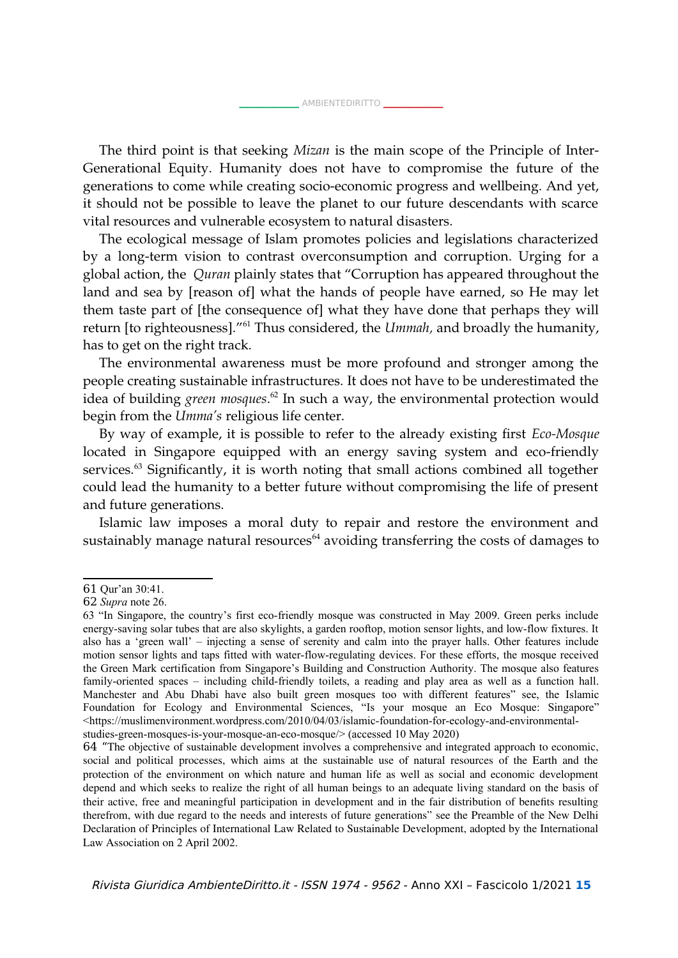The third point is that seeking *Mizan* is the main scope of the Principle of Inter-Generational Equity. Humanity does not have to compromise the future of the generations to come while creating socio-economic progress and wellbeing. And yet, it should not be possible to leave the planet to our future descendants with scarce vital resources and vulnerable ecosystem to natural disasters.

The ecological message of Islam promotes policies and legislations characterized by a long-term vision to contrast overconsumption and corruption. Urging for a global action, the *Quran* plainly states that "Corruption has appeared throughout the land and sea by [reason of] what the hands of people have earned, so He may let them taste part of [the consequence of] what they have done that perhaps they will return [to righteousness]."[61](#page-14-0) Thus considered, the *Ummah,* and broadly the humanity, has to get on the right track.

The environmental awareness must be more profound and stronger among the people creating sustainable infrastructures. It does not have to be underestimated the idea of building *green mosques*. [62](#page-14-1) In such a way, the environmental protection would begin from the *Umma's* religious life center.

By way of example, it is possible to refer to the already existing first *Eco-Mosque* located in Singapore equipped with an energy saving system and eco-friendly services.<sup>[63](#page-14-2)</sup> Significantly, it is worth noting that small actions combined all together could lead the humanity to a better future without compromising the life of present and future generations.

Islamic law imposes a moral duty to repair and restore the environment and sustainably manage natural resources $64$  avoiding transferring the costs of damages to

<span id="page-14-0"></span><sup>61</sup> Qur'an 30:41.

<span id="page-14-1"></span><sup>62</sup> *Supra* note 26.

<span id="page-14-2"></span><sup>63 &</sup>quot;In Singapore, the country's first eco-friendly mosque was constructed in May 2009. Green perks include energy-saving solar tubes that are also skylights, a garden rooftop, motion sensor lights, and low-flow fixtures. It also has a 'green wall' – injecting a sense of serenity and calm into the prayer halls. Other features include motion sensor lights and taps fitted with water-flow-regulating devices. For these efforts, the mosque received the Green Mark certification from Singapore's Building and Construction Authority. The mosque also features family-oriented spaces – including child-friendly toilets, a reading and play area as well as a function hall. Manchester and Abu Dhabi have also built green mosques too with different features" see, the Islamic Foundation for Ecology and Environmental Sciences, "Is your mosque an Eco Mosque: Singapore" <https://muslimenvironment.wordpress.com/2010/04/03/islamic-foundation-for-ecology-and-environmentalstudies-green-mosques-is-your-mosque-an-eco-mosque/> (accessed 10 May 2020)

<span id="page-14-3"></span><sup>64 &</sup>quot;The objective of sustainable development involves a comprehensive and integrated approach to economic, social and political processes, which aims at the sustainable use of natural resources of the Earth and the protection of the environment on which nature and human life as well as social and economic development depend and which seeks to realize the right of all human beings to an adequate living standard on the basis of their active, free and meaningful participation in development and in the fair distribution of benefits resulting therefrom, with due regard to the needs and interests of future generations" see the Preamble of the New Delhi Declaration of Principles of International Law Related to Sustainable Development, adopted by the International Law Association on 2 April 2002.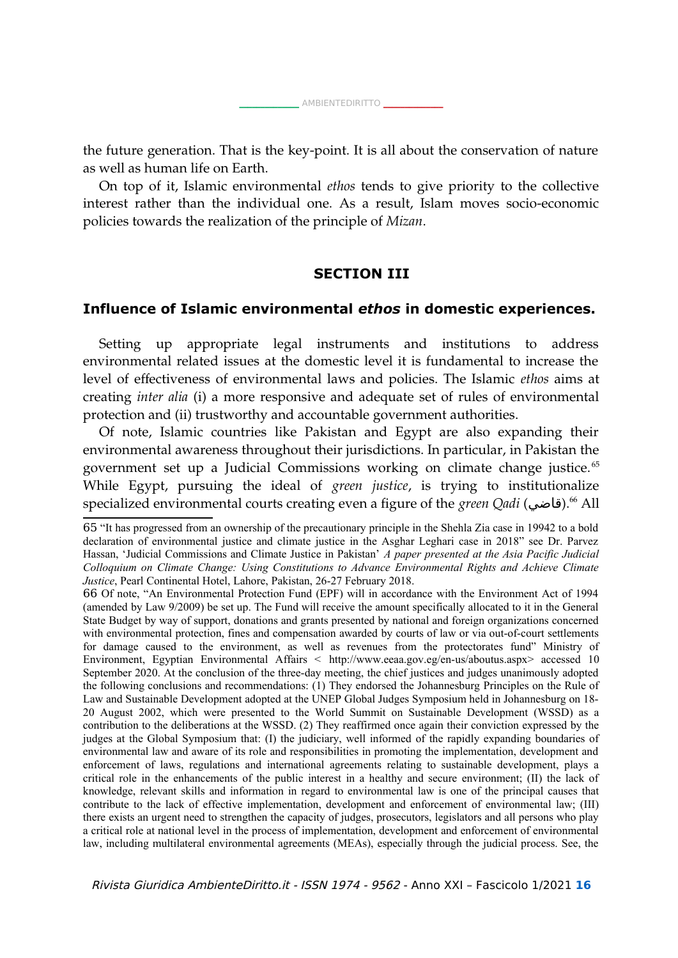the future generation. That is the key-point. It is all about the conservation of nature as well as human life on Earth.

On top of it, Islamic environmental *ethos* tends to give priority to the collective interest rather than the individual one. As a result, Islam moves socio-economic policies towards the realization of the principle of *Mizan*.

### **SECTION III**

## **Influence of Islamic environmental** *ethos* **in domestic experiences.**

Setting up appropriate legal instruments and institutions to address environmental related issues at the domestic level it is fundamental to increase the level of effectiveness of environmental laws and policies. The Islamic *ethos* aims at creating *inter alia* (i) a more responsive and adequate set of rules of environmental protection and (ii) trustworthy and accountable government authorities.

Of note, Islamic countries like Pakistan and Egypt are also expanding their environmental awareness throughout their jurisdictions. In particular, in Pakistan the government set up a Judicial Commissions working on climate change justice. [65](#page-15-0) While Egypt, pursuing the ideal of *green justice*, is trying to institutionalize specialized environmental courts creating even a figure of the *green Qadi* (قاضی).<sup>[66](#page-15-1)</sup> All

<span id="page-15-0"></span><sup>65</sup> "It has progressed from an ownership of the precautionary principle in the Shehla Zia case in 19942 to a bold declaration of environmental justice and climate justice in the Asghar Leghari case in 2018" see Dr. Parvez Hassan, 'Judicial Commissions and Climate Justice in Pakistan' *A paper presented at the Asia Pacific Judicial Colloquium on Climate Change: Using Constitutions to Advance Environmental Rights and Achieve Climate Justice*, Pearl Continental Hotel, Lahore, Pakistan, 26-27 February 2018.

<span id="page-15-1"></span><sup>66</sup> Of note, "An Environmental Protection Fund (EPF) will in accordance with the Environment Act of 1994 (amended by Law 9/2009) be set up. The Fund will receive the amount specifically allocated to it in the General State Budget by way of support, donations and grants presented by national and foreign organizations concerned with environmental protection, fines and compensation awarded by courts of law or via out-of-court settlements for damage caused to the environment, as well as revenues from the protectorates fund" Ministry of Environment, Egyptian Environmental Affairs < http://www.eeaa.gov.eg/en-us/aboutus.aspx> accessed 10 September 2020. At the conclusion of the three-day meeting, the chief justices and judges unanimously adopted the following conclusions and recommendations: (1) They endorsed the Johannesburg Principles on the Rule of Law and Sustainable Development adopted at the UNEP Global Judges Symposium held in Johannesburg on 18- 20 August 2002, which were presented to the World Summit on Sustainable Development (WSSD) as a contribution to the deliberations at the WSSD. (2) They reaffirmed once again their conviction expressed by the judges at the Global Symposium that: (I) the judiciary, well informed of the rapidly expanding boundaries of environmental law and aware of its role and responsibilities in promoting the implementation, development and enforcement of laws, regulations and international agreements relating to sustainable development, plays a critical role in the enhancements of the public interest in a healthy and secure environment; (II) the lack of knowledge, relevant skills and information in regard to environmental law is one of the principal causes that contribute to the lack of effective implementation, development and enforcement of environmental law; (III) there exists an urgent need to strengthen the capacity of judges, prosecutors, legislators and all persons who play a critical role at national level in the process of implementation, development and enforcement of environmental law, including multilateral environmental agreements (MEAs), especially through the judicial process. See, the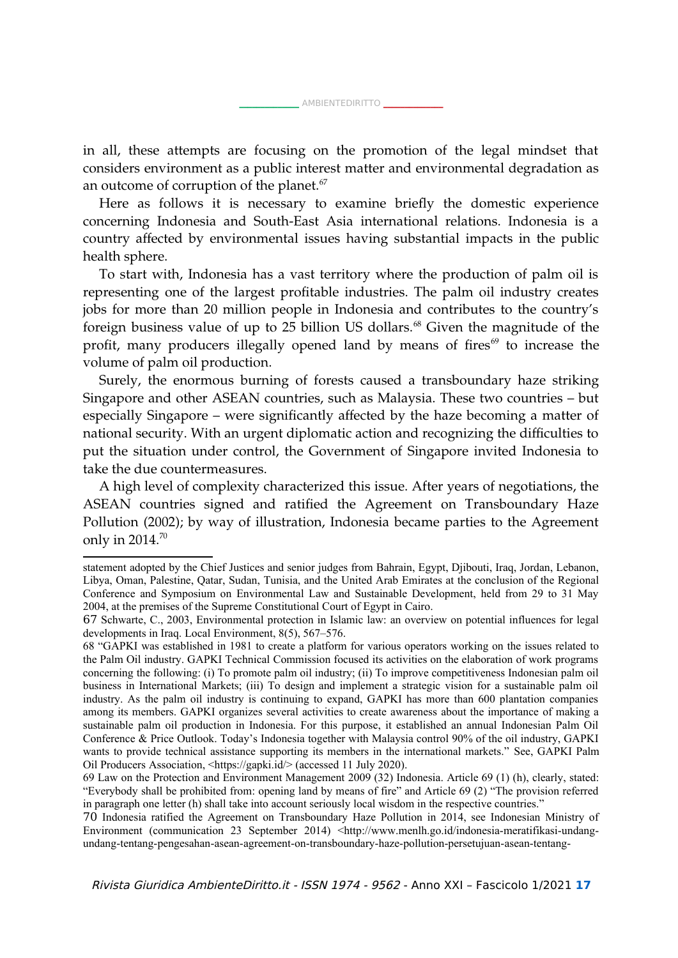in all, these attempts are focusing on the promotion of the legal mindset that considers environment as a public interest matter and environmental degradation as an outcome of corruption of the planet.<sup>[67](#page-16-0)</sup>

Here as follows it is necessary to examine briefly the domestic experience concerning Indonesia and South-East Asia international relations. Indonesia is a country affected by environmental issues having substantial impacts in the public health sphere.

To start with, Indonesia has a vast territory where the production of palm oil is representing one of the largest profitable industries. The palm oil industry creates jobs for more than 20 million people in Indonesia and contributes to the country's foreign business value of up to 25 billion US dollars.<sup>[68](#page-16-1)</sup> Given the magnitude of the profit, many producers illegally opened land by means of fires $69$  to increase the volume of palm oil production.

Surely, the enormous burning of forests caused a transboundary haze striking Singapore and other ASEAN countries, such as Malaysia. These two countries – but especially Singapore – were significantly affected by the haze becoming a matter of national security. With an urgent diplomatic action and recognizing the difficulties to put the situation under control, the Government of Singapore invited Indonesia to take the due countermeasures.

A high level of complexity characterized this issue. After years of negotiations, the ASEAN countries signed and ratified the Agreement on Transboundary Haze Pollution (2002); by way of illustration, Indonesia became parties to the Agreement only in 2014.<sup>[70](#page-16-3)</sup>

statement adopted by the Chief Justices and senior judges from Bahrain, Egypt, Djibouti, Iraq, Jordan, Lebanon, Libya, Oman, Palestine, Qatar, Sudan, Tunisia, and the United Arab Emirates at the conclusion of the Regional Conference and Symposium on Environmental Law and Sustainable Development, held from 29 to 31 May 2004, at the premises of the Supreme Constitutional Court of Egypt in Cairo.

<span id="page-16-0"></span><sup>67</sup> Schwarte, C., 2003, Environmental protection in Islamic law: an overview on potential influences for legal developments in Iraq. Local Environment, 8(5), 567–576.

<span id="page-16-1"></span><sup>68 &</sup>quot;GAPKI was established in 1981 to create a platform for various operators working on the issues related to the Palm Oil industry. GAPKI Technical Commission focused its activities on the elaboration of work programs concerning the following: (i) To promote palm oil industry; (ii) To improve competitiveness Indonesian palm oil business in International Markets; (iii) To design and implement a strategic vision for a sustainable palm oil industry. As the palm oil industry is continuing to expand, GAPKI has more than 600 plantation companies among its members. GAPKI organizes several activities to create awareness about the importance of making a sustainable palm oil production in Indonesia. For this purpose, it established an annual Indonesian Palm Oil Conference & Price Outlook. Today's Indonesia together with Malaysia control 90% of the oil industry, GAPKI wants to provide technical assistance supporting its members in the international markets." See, GAPKI Palm Oil Producers Association, <https://gapki.id/> (accessed 11 July 2020).

<span id="page-16-2"></span><sup>69</sup> Law on the Protection and Environment Management 2009 (32) Indonesia. Article 69 (1) (h), clearly, stated: "Everybody shall be prohibited from: opening land by means of fire" and Article 69 (2) "The provision referred in paragraph one letter (h) shall take into account seriously local wisdom in the respective countries."

<span id="page-16-3"></span><sup>70</sup> Indonesia ratified the Agreement on Transboundary Haze Pollution in 2014, see Indonesian Ministry of Environment (communication 23 September 2014) <http://www.menlh.go.id/indonesia-meratifikasi-undangundang-tentang-pengesahan-asean-agreement-on-transboundary-haze-pollution-persetujuan-asean-tentang-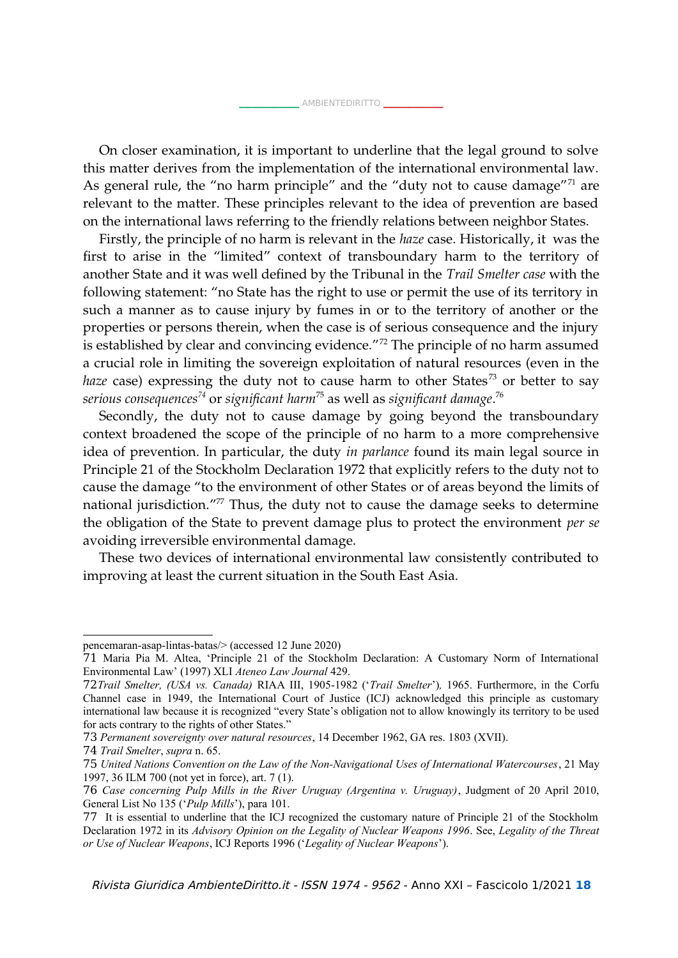On closer examination, it is important to underline that the legal ground to solve this matter derives from the implementation of the international environmental law. As general rule, the "no harm principle" and the "duty not to cause damage"<sup>[71](#page-17-0)</sup> are relevant to the matter. These principles relevant to the idea of prevention are based on the international laws referring to the friendly relations between neighbor States.

Firstly, the principle of no harm is relevant in the *haze* case. Historically, it was the first to arise in the "limited" context of transboundary harm to the territory of another State and it was well defined by the Tribunal in the *Trail Smelter case* with the following statement: "no State has the right to use or permit the use of its territory in such a manner as to cause injury by fumes in or to the territory of another or the properties or persons therein, when the case is of serious consequence and the injury is established by clear and convincing evidence."[72](#page-17-1) The principle of no harm assumed a crucial role in limiting the sovereign exploitation of natural resources (even in the *haze* case) expressing the duty not to cause harm to other States<sup>[73](#page-17-2)</sup> or better to say *serious consequences[74](#page-17-3)* or *significant harm*[75](#page-17-4) as well as *significant damage*. [76](#page-17-5)

Secondly, the duty not to cause damage by going beyond the transboundary context broadened the scope of the principle of no harm to a more comprehensive idea of prevention. In particular, the duty *in parlance* found its main legal source in Principle 21 of the Stockholm Declaration 1972 that explicitly refers to the duty not to cause the damage "to the environment of other States or of areas beyond the limits of national jurisdiction."<sup>[77](#page-17-6)</sup> Thus, the duty not to cause the damage seeks to determine the obligation of the State to prevent damage plus to protect the environment *per se* avoiding irreversible environmental damage.

These two devices of international environmental law consistently contributed to improving at least the current situation in the South East Asia.

pencemaran-asap-lintas-batas/> (accessed 12 June 2020)

<span id="page-17-0"></span><sup>71</sup> Maria Pia M. Altea, 'Principle 21 of the Stockholm Declaration: A Customary Norm of International Environmental Law' (1997) XLI *Ateneo Law Journal* 429.

<span id="page-17-1"></span><sup>72</sup>*Trail Smelter, (USA vs. Canada)* RIAA III, 1905-1982 ('*Trail Smelter*')*,* 1965. Furthermore, in the Corfu Channel case in 1949, the International Court of Justice (ICJ) acknowledged this principle as customary international law because it is recognized "every State's obligation not to allow knowingly its territory to be used for acts contrary to the rights of other States."

<span id="page-17-2"></span><sup>73</sup> *Permanent sovereignty over natural resources*, 14 December 1962, GA res. 1803 (XVII).

<span id="page-17-3"></span><sup>74</sup> *Trail Smelter*, *supra* n. 65.

<span id="page-17-4"></span><sup>75</sup> *United Nations Convention on the Law of the Non-Navigational Uses of International Watercourses*, 21 May 1997, 36 ILM 700 (not yet in force), art. 7 (1).

<span id="page-17-5"></span><sup>76</sup> *Case concerning Pulp Mills in the River Uruguay (Argentina v. Uruguay)*, Judgment of 20 April 2010, General List No 135 ('*Pulp Mills*'), para 101.

<span id="page-17-6"></span><sup>77</sup> It is essential to underline that the ICJ recognized the customary nature of Principle 21 of the Stockholm Declaration 1972 in its *Advisory Opinion on the Legality of Nuclear Weapons 1996*. See, *Legality of the Threat or Use of Nuclear Weapons*, ICJ Reports 1996 ('*Legality of Nuclear Weapons*').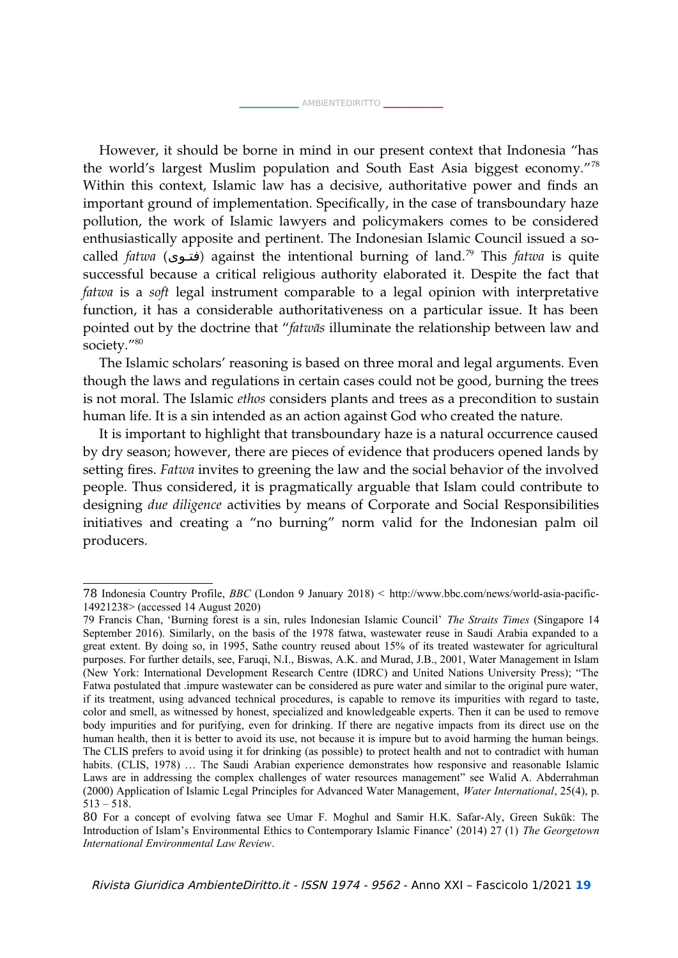However, it should be borne in mind in our present context that Indonesia "has the world's largest Muslim population and South East Asia biggest economy."[78](#page-18-0) Within this context, Islamic law has a decisive, authoritative power and finds an important ground of implementation. Specifically, in the case of transboundary haze pollution, the work of Islamic lawyers and policymakers comes to be considered enthusiastically apposite and pertinent. The Indonesian Islamic Council issued a socalled *fatwa* (فتوى) against the intentional burning of land.<sup>[79](#page-18-1)</sup> This *fatwa* is quite successful because a critical religious authority elaborated it. Despite the fact that *fatwa* is a *soft* legal instrument comparable to a legal opinion with interpretative function, it has a considerable authoritativeness on a particular issue. It has been pointed out by the doctrine that "*fatwās* illuminate the relationship between law and society."[80](#page-18-2)

The Islamic scholars' reasoning is based on three moral and legal arguments. Even though the laws and regulations in certain cases could not be good, burning the trees is not moral. The Islamic *ethos* considers plants and trees as a precondition to sustain human life. It is a sin intended as an action against God who created the nature.

It is important to highlight that transboundary haze is a natural occurrence caused by dry season; however, there are pieces of evidence that producers opened lands by setting fires. *Fatwa* invites to greening the law and the social behavior of the involved people. Thus considered, it is pragmatically arguable that Islam could contribute to designing *due diligence* activities by means of Corporate and Social Responsibilities initiatives and creating a "no burning" norm valid for the Indonesian palm oil producers.

<span id="page-18-0"></span><sup>78</sup> Indonesia Country Profile, *BBC* (London 9 January 2018) < http://www.bbc.com/news/world-asia-pacific-14921238> (accessed 14 August 2020)

<span id="page-18-1"></span><sup>79</sup> Francis Chan, 'Burning forest is a sin, rules Indonesian Islamic Council' *The Straits Times* (Singapore 14 September 2016). Similarly, on the basis of the 1978 fatwa, wastewater reuse in Saudi Arabia expanded to a great extent. By doing so, in 1995, Sathe country reused about 15% of its treated wastewater for agricultural purposes. For further details, see, Faruqi, N.I., Biswas, A.K. and Murad, J.B., 2001, Water Management in Islam (New York: International Development Research Centre (IDRC) and United Nations University Press); "The Fatwa postulated that .impure wastewater can be considered as pure water and similar to the original pure water, if its treatment, using advanced technical procedures, is capable to remove its impurities with regard to taste, color and smell, as witnessed by honest, specialized and knowledgeable experts. Then it can be used to remove body impurities and for purifying, even for drinking. If there are negative impacts from its direct use on the human health, then it is better to avoid its use, not because it is impure but to avoid harming the human beings. The CLIS prefers to avoid using it for drinking (as possible) to protect health and not to contradict with human habits. (CLIS, 1978) ... The Saudi Arabian experience demonstrates how responsive and reasonable Islamic Laws are in addressing the complex challenges of water resources management" see Walid A. Abderrahman (2000) Application of Islamic Legal Principles for Advanced Water Management, *Water International*, 25(4), p. 513 – 518.

<span id="page-18-2"></span><sup>80</sup> For a concept of evolving fatwa see Umar F. Moghul and Samir H.K. Safar-Aly, Green Sukūk: The Introduction of Islam's Environmental Ethics to Contemporary Islamic Finance' (2014) 27 (1) *The Georgetown International Environmental Law Review*.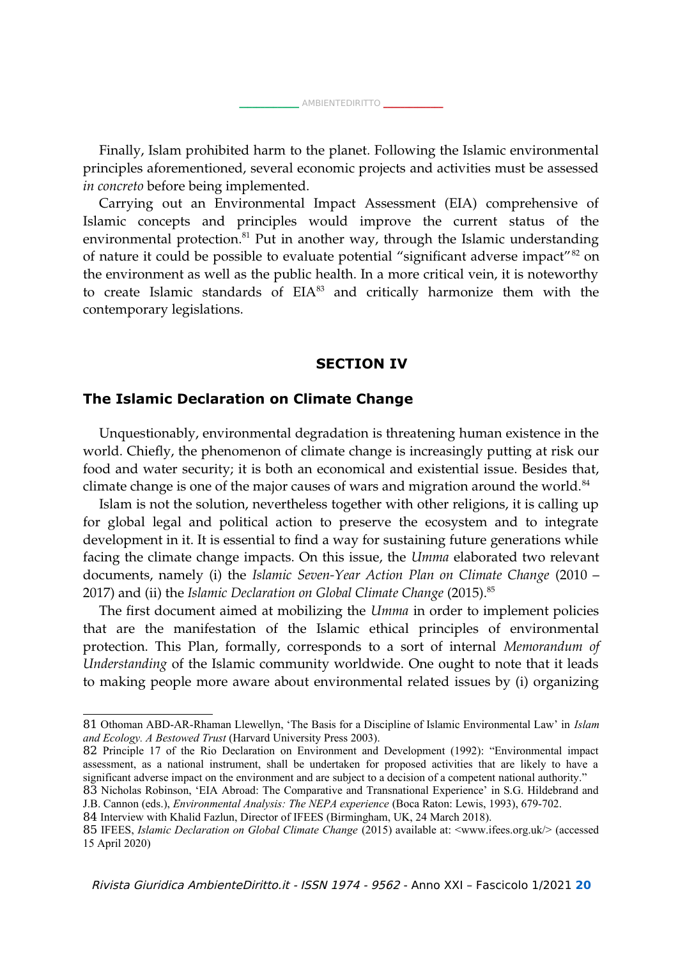Finally, Islam prohibited harm to the planet. Following the Islamic environmental principles aforementioned, several economic projects and activities must be assessed *in concreto* before being implemented.

\_[AMBIENTEDIRITTO](http://www.AMBIENTEDIRITTO.it/) \_\_

Carrying out an Environmental Impact Assessment (EIA) comprehensive of Islamic concepts and principles would improve the current status of the environmental protection.<sup>[81](#page-19-0)</sup> Put in another way, through the Islamic understanding of nature it could be possible to evaluate potential "significant adverse impact"[82](#page-19-1) on the environment as well as the public health. In a more critical vein, it is noteworthy to create Islamic standards of EIA<sup>[83](#page-19-2)</sup> and critically harmonize them with the contemporary legislations.

### **SECTION IV**

#### **The Islamic Declaration on Climate Change**

Unquestionably, environmental degradation is threatening human existence in the world. Chiefly, the phenomenon of climate change is increasingly putting at risk our food and water security; it is both an economical and existential issue. Besides that, climate change is one of the major causes of wars and migration around the world.<sup>[84](#page-19-3)</sup>

Islam is not the solution, nevertheless together with other religions, it is calling up for global legal and political action to preserve the ecosystem and to integrate development in it. It is essential to find a way for sustaining future generations while facing the climate change impacts. On this issue, the *Umma* elaborated two relevant documents, namely (i) the *Islamic Seven-Year Action Plan on Climate Change* (2010 – 2017) and (ii) the *Islamic Declaration on Global Climate Change* (2015).[85](#page-19-4)

The first document aimed at mobilizing the *Umma* in order to implement policies that are the manifestation of the Islamic ethical principles of environmental protection. This Plan, formally, corresponds to a sort of internal *Memorandum of Understanding* of the Islamic community worldwide. One ought to note that it leads to making people more aware about environmental related issues by (i) organizing

<span id="page-19-0"></span><sup>81</sup> Othoman ABD-AR-Rhaman Llewellyn, 'The Basis for a Discipline of Islamic Environmental Law' in *Islam and Ecology. A Bestowed Trust* (Harvard University Press 2003).

<span id="page-19-1"></span><sup>82</sup> Principle 17 of the Rio Declaration on Environment and Development (1992): "Environmental impact assessment, as a national instrument, shall be undertaken for proposed activities that are likely to have a significant adverse impact on the environment and are subject to a decision of a competent national authority."

<span id="page-19-2"></span><sup>83</sup> Nicholas Robinson, 'EIA Abroad: The Comparative and Transnational Experience' in S.G. Hildebrand and J.B. Cannon (eds.), *Environmental Analysis: The NEPA experience* (Boca Raton: Lewis, 1993), 679-702.

<span id="page-19-3"></span><sup>84</sup> Interview with Khalid Fazlun, Director of IFEES (Birmingham, UK, 24 March 2018).

<span id="page-19-4"></span><sup>85</sup> IFEES, *Islamic Declaration on Global Climate Change* (2015) available at: <www.ifees.org.uk/> (accessed 15 April 2020)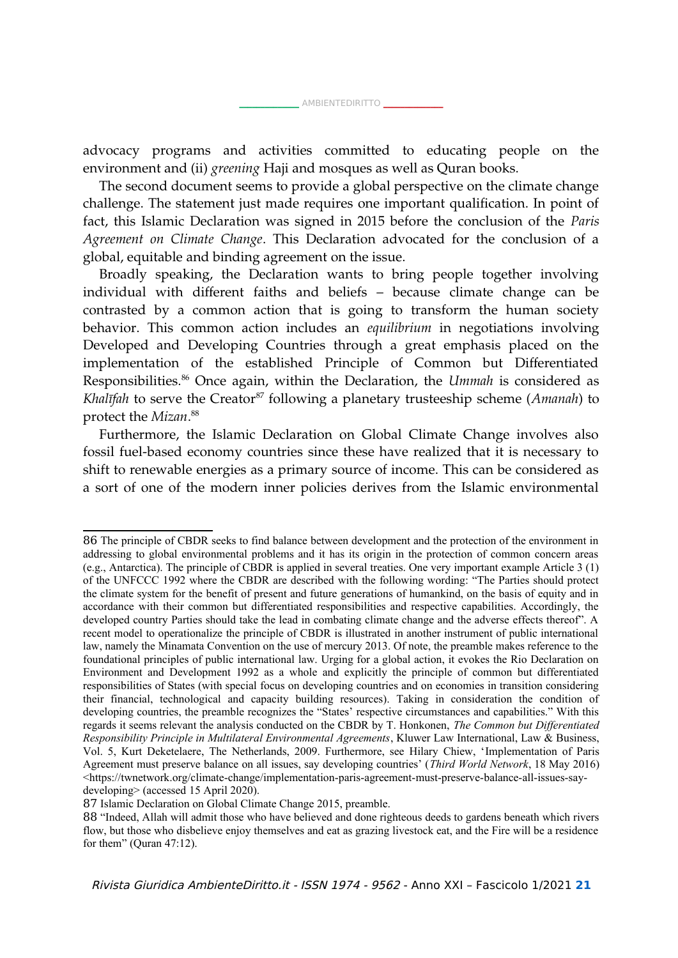advocacy programs and activities committed to educating people on the environment and (ii) *greening* Haji and mosques as well as Quran books.

The second document seems to provide a global perspective on the climate change challenge. The statement just made requires one important qualification. In point of fact, this Islamic Declaration was signed in 2015 before the conclusion of the *Paris Agreement on Climate Change*. This Declaration advocated for the conclusion of a global, equitable and binding agreement on the issue.

Broadly speaking, the Declaration wants to bring people together involving individual with different faiths and beliefs – because climate change can be contrasted by a common action that is going to transform the human society behavior. This common action includes an *equilibrium* in negotiations involving Developed and Developing Countries through a great emphasis placed on the implementation of the established Principle of Common but Differentiated Responsibilities.<sup>[86](#page-20-0)</sup> Once again, within the Declaration, the *Ummah* is considered as *Khalīfah* to serve the Creator<sup>[87](#page-20-1)</sup> following a planetary trusteeship scheme (*Amanah*) to protect the *Mizan*. [88](#page-20-2)

Furthermore, the Islamic Declaration on Global Climate Change involves also fossil fuel-based economy countries since these have realized that it is necessary to shift to renewable energies as a primary source of income. This can be considered as a sort of one of the modern inner policies derives from the Islamic environmental

<span id="page-20-0"></span><sup>86</sup> The principle of CBDR seeks to find balance between development and the protection of the environment in addressing to global environmental problems and it has its origin in the protection of common concern areas (e.g., Antarctica). The principle of CBDR is applied in several treaties. One very important example Article 3 (1) of the UNFCCC 1992 where the CBDR are described with the following wording: "The Parties should protect the climate system for the benefit of present and future generations of humankind, on the basis of equity and in accordance with their common but differentiated responsibilities and respective capabilities. Accordingly, the developed country Parties should take the lead in combating climate change and the adverse effects thereof". A recent model to operationalize the principle of CBDR is illustrated in another instrument of public international law, namely the Minamata Convention on the use of mercury 2013. Of note, the preamble makes reference to the foundational principles of public international law. Urging for a global action, it evokes the Rio Declaration on Environment and Development 1992 as a whole and explicitly the principle of common but differentiated responsibilities of States (with special focus on developing countries and on economies in transition considering their financial, technological and capacity building resources). Taking in consideration the condition of developing countries, the preamble recognizes the "States' respective circumstances and capabilities." With this regards it seems relevant the analysis conducted on the CBDR by T. Honkonen, *The Common but Differentiated Responsibility Principle in Multilateral Environmental Agreements*, Kluwer Law International, Law & Business, Vol. 5, Kurt Deketelaere, The Netherlands, 2009. Furthermore, see Hilary Chiew, 'Implementation of Paris Agreement must preserve balance on all issues, say developing countries' (*Third World Network*, 18 May 2016) <https://twnetwork.org/climate-change/implementation-paris-agreement-must-preserve-balance-all-issues-saydeveloping> (accessed 15 April 2020).

<span id="page-20-1"></span><sup>87</sup> Islamic Declaration on Global Climate Change 2015, preamble.

<span id="page-20-2"></span><sup>88</sup> "Indeed, Allah will admit those who have believed and done righteous deeds to gardens beneath which rivers flow, but those who disbelieve enjoy themselves and eat as grazing livestock eat, and the Fire will be a residence for them" (Quran 47:12).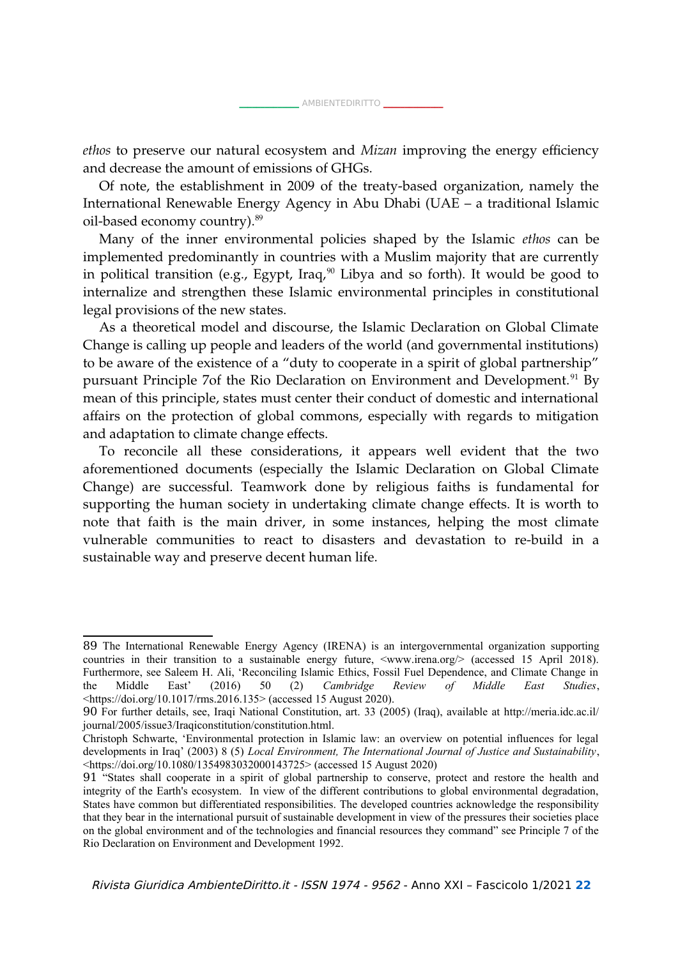*ethos* to preserve our natural ecosystem and *Mizan* improving the energy efficiency and decrease the amount of emissions of GHGs.

Of note, the establishment in 2009 of the treaty-based organization, namely the International Renewable Energy Agency in Abu Dhabi (UAE – a traditional Islamic oil-based economy country).[89](#page-21-0)

Many of the inner environmental policies shaped by the Islamic *ethos* can be implemented predominantly in countries with a Muslim majority that are currently in political transition (e.g., Egypt, Iraq,<sup>[90](#page-21-1)</sup> Libya and so forth). It would be good to internalize and strengthen these Islamic environmental principles in constitutional legal provisions of the new states.

As a theoretical model and discourse, the Islamic Declaration on Global Climate Change is calling up people and leaders of the world (and governmental institutions) to be aware of the existence of a "duty to cooperate in a spirit of global partnership" pursuant Principle 7of the Rio Declaration on Environment and Development.<sup>[91](#page-21-2)</sup> By mean of this principle, states must center their conduct of domestic and international affairs on the protection of global commons, especially with regards to mitigation and adaptation to climate change effects.

To reconcile all these considerations, it appears well evident that the two aforementioned documents (especially the Islamic Declaration on Global Climate Change) are successful. Teamwork done by religious faiths is fundamental for supporting the human society in undertaking climate change effects. It is worth to note that faith is the main driver, in some instances, helping the most climate vulnerable communities to react to disasters and devastation to re-build in a sustainable way and preserve decent human life.

<span id="page-21-0"></span><sup>89</sup> The International Renewable Energy Agency (IRENA) is an intergovernmental organization supporting countries in their transition to a sustainable energy future, <www.irena.org/> (accessed 15 April 2018). Furthermore, see Saleem H. Ali, 'Reconciling Islamic Ethics, Fossil Fuel Dependence, and Climate Change in the Middle East' (2016) 50 (2) *Cambridge Review of Middle East Studies*, <https://doi.org/10.1017/rms.2016.135> (accessed 15 August 2020).

<span id="page-21-1"></span><sup>90</sup> For further details, see, Iraqi National Constitution, art. 33 (2005) (Iraq), available at http://meria.idc.ac.il/ journal/2005/issue3/Iraqiconstitution/constitution.html.

Christoph Schwarte, 'Environmental protection in Islamic law: an overview on potential influences for legal developments in Iraq' (2003) 8 (5) *Local Environment, The International Journal of Justice and Sustainability*, <https://doi.org/10.1080/1354983032000143725> (accessed 15 August 2020)

<span id="page-21-2"></span><sup>91</sup> "States shall cooperate in a spirit of global partnership to conserve, protect and restore the health and integrity of the Earth's ecosystem. In view of the different contributions to global environmental degradation, States have common but differentiated responsibilities. The developed countries acknowledge the responsibility that they bear in the international pursuit of sustainable development in view of the pressures their societies place on the global environment and of the technologies and financial resources they command" see Principle 7 of the Rio Declaration on Environment and Development 1992.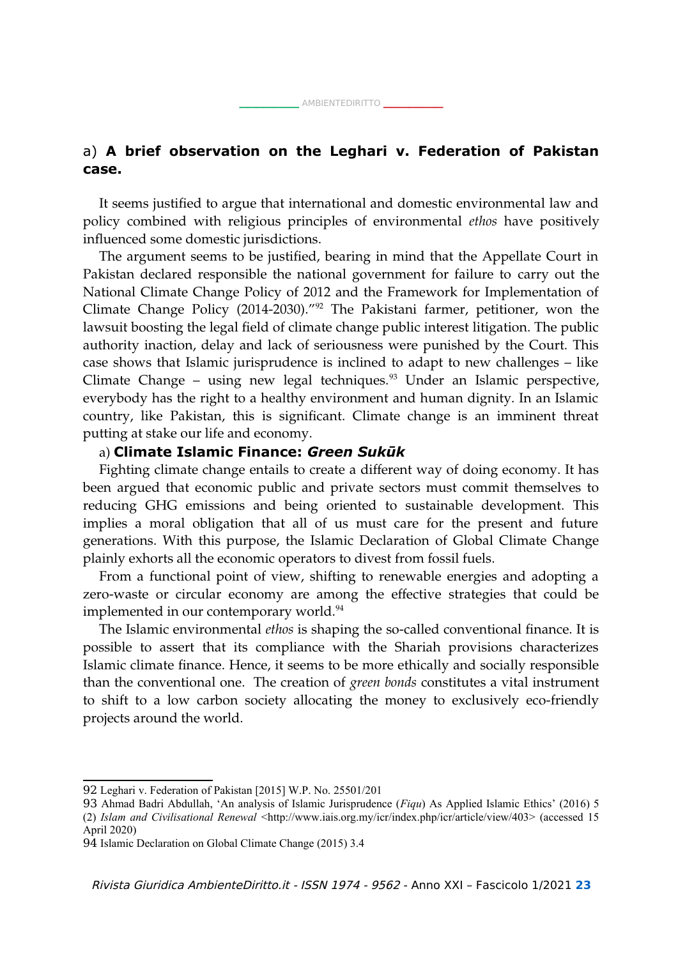# a) **A brief observation on the Leghari v. Federation of Pakistan case.**

It seems justified to argue that international and domestic environmental law and policy combined with religious principles of environmental *ethos* have positively influenced some domestic jurisdictions.

The argument seems to be justified, bearing in mind that the Appellate Court in Pakistan declared responsible the national government for failure to carry out the National Climate Change Policy of 2012 and the Framework for Implementation of Climate Change Policy (2014-2030)."[92](#page-22-0) The Pakistani farmer, petitioner, won the lawsuit boosting the legal field of climate change public interest litigation. The public authority inaction, delay and lack of seriousness were punished by the Court. This case shows that Islamic jurisprudence is inclined to adapt to new challenges – like Climate Change – using new legal techniques.<sup>[93](#page-22-1)</sup> Under an Islamic perspective, everybody has the right to a healthy environment and human dignity. In an Islamic country, like Pakistan, this is significant. Climate change is an imminent threat putting at stake our life and economy.

### a) **Climate Islamic Finance:** *Green Sukūk*

Fighting climate change entails to create a different way of doing economy. It has been argued that economic public and private sectors must commit themselves to reducing GHG emissions and being oriented to sustainable development. This implies a moral obligation that all of us must care for the present and future generations. With this purpose, the Islamic Declaration of Global Climate Change plainly exhorts all the economic operators to divest from fossil fuels.

From a functional point of view, shifting to renewable energies and adopting a zero-waste or circular economy are among the effective strategies that could be implemented in our contemporary world.<sup>[94](#page-22-2)</sup>

The Islamic environmental *ethos* is shaping the so-called conventional finance. It is possible to assert that its compliance with the Shariah provisions characterizes Islamic climate finance. Hence, it seems to be more ethically and socially responsible than the conventional one. The creation of *green bonds* constitutes a vital instrument to shift to a low carbon society allocating the money to exclusively eco-friendly projects around the world.

<span id="page-22-0"></span><sup>92</sup> Leghari v. Federation of Pakistan [2015] W.P. No. 25501/201

<span id="page-22-1"></span><sup>93</sup> Ahmad Badri Abdullah, 'An analysis of Islamic Jurisprudence (*Fiqu*) As Applied Islamic Ethics' (2016) 5 (2) *Islam and Civilisational Renewal* <http://www.iais.org.my/icr/index.php/icr/article/view/403> (accessed 15 April 2020)

<span id="page-22-2"></span><sup>94</sup> Islamic Declaration on Global Climate Change (2015) 3.4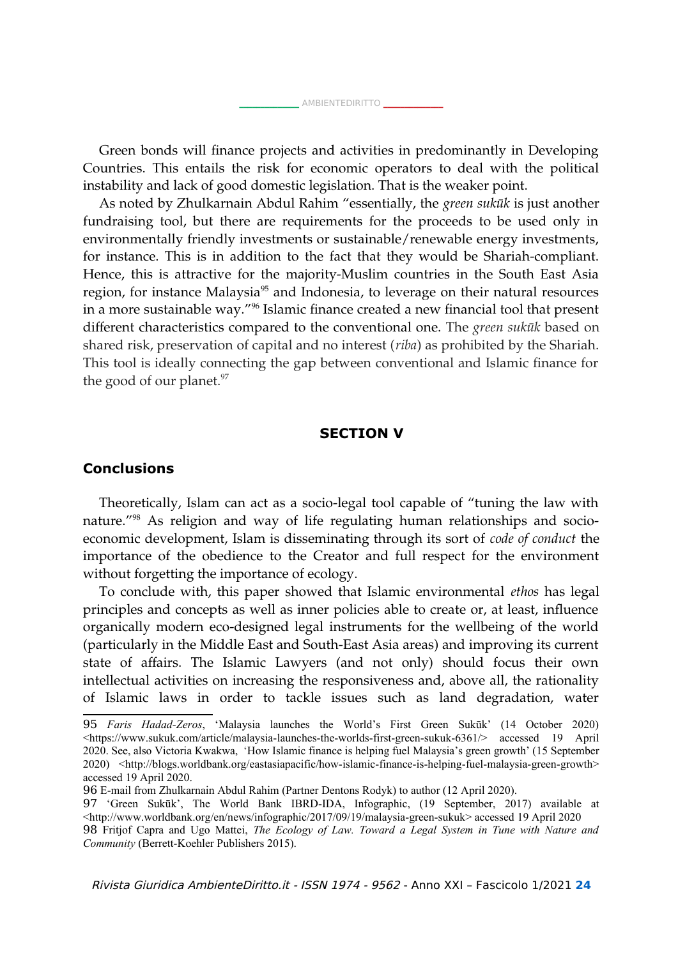Green bonds will finance projects and activities in predominantly in Developing Countries. This entails the risk for economic operators to deal with the political instability and lack of good domestic legislation. That is the weaker point.

As noted by Zhulkarnain Abdul Rahim "essentially, the *green sukūk* is just another fundraising tool, but there are requirements for the proceeds to be used only in environmentally friendly investments or sustainable/renewable energy investments, for instance. This is in addition to the fact that they would be Shariah-compliant. Hence, this is attractive for the majority-Muslim countries in the South East Asia region, for instance Malaysia<sup>[95](#page-23-0)</sup> and Indonesia, to leverage on their natural resources in a more sustainable way."[96](#page-23-1) Islamic finance created a new financial tool that present different characteristics compared to the conventional one. The *green sukūk* based on shared risk, preservation of capital and no interest (*riba*) as prohibited by the Shariah. This tool is ideally connecting the gap between conventional and Islamic finance for the good of our planet.<sup>[97](#page-23-2)</sup>

#### **SECTION V**

#### **Conclusions**

Theoretically, Islam can act as a socio-legal tool capable of "tuning the law with nature."[98](#page-23-3) As religion and way of life regulating human relationships and socioeconomic development, Islam is disseminating through its sort of *code of conduct* the importance of the obedience to the Creator and full respect for the environment without forgetting the importance of ecology.

To conclude with, this paper showed that Islamic environmental *ethos* has legal principles and concepts as well as inner policies able to create or, at least, influence organically modern eco-designed legal instruments for the wellbeing of the world (particularly in the Middle East and South-East Asia areas) and improving its current state of affairs. The Islamic Lawyers (and not only) should focus their own intellectual activities on increasing the responsiveness and, above all, the rationality of Islamic laws in order to tackle issues such as land degradation, water

<span id="page-23-0"></span><sup>95</sup> *Faris Hadad-Zeros*, 'Malaysia launches the World's First Green Sukūk' (14 October 2020) <https://www.sukuk.com/article/malaysia-launches-the-worlds-first-green-sukuk-6361/> accessed 19 April 2020. See, also Victoria Kwakwa, 'How Islamic finance is helping fuel Malaysia's green growth' (15 September 2020) <http://blogs.worldbank.org/eastasiapacific/how-islamic-finance-is-helping-fuel-malaysia-green-growth> accessed 19 April 2020.

<span id="page-23-1"></span><sup>96</sup> E-mail from Zhulkarnain Abdul Rahim (Partner Dentons Rodyk) to author (12 April 2020).

<span id="page-23-2"></span><sup>97</sup> 'Green Sukūk', The World Bank IBRD-IDA, Infographic, (19 September, 2017) available at <http://www.worldbank.org/en/news/infographic/2017/09/19/malaysia-green-sukuk> accessed 19 April 2020

<span id="page-23-3"></span><sup>98</sup> Fritjof Capra and Ugo Mattei, *The Ecology of Law. Toward a Legal System in Tune with Nature and Community* (Berrett-Koehler Publishers 2015).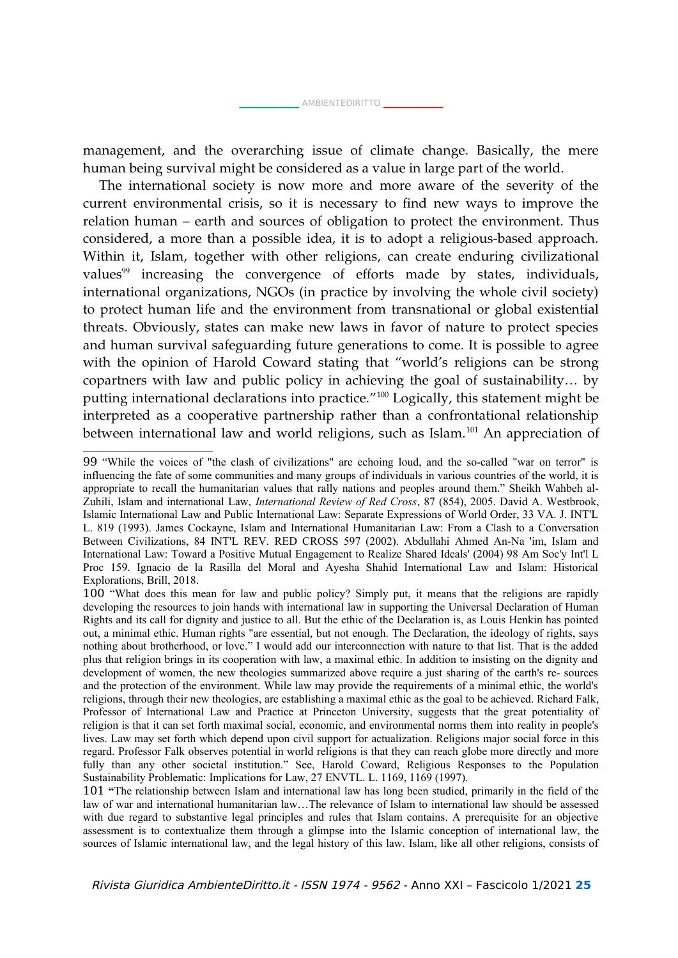management, and the overarching issue of climate change. Basically, the mere human being survival might be considered as a value in large part of the world.

The international society is now more and more aware of the severity of the current environmental crisis, so it is necessary to find new ways to improve the relation human – earth and sources of obligation to protect the environment. Thus considered, a more than a possible idea, it is to adopt a religious-based approach. Within it, Islam, together with other religions, can create enduring civilizational values<sup>[99](#page-24-0)</sup> increasing the convergence of efforts made by states, individuals, international organizations, NGOs (in practice by involving the whole civil society) to protect human life and the environment from transnational or global existential threats. Obviously, states can make new laws in favor of nature to protect species and human survival safeguarding future generations to come. It is possible to agree with the opinion of Harold Coward stating that "world's religions can be strong copartners with law and public policy in achieving the goal of sustainability… by putting international declarations into practice."[100](#page-24-1) Logically, this statement might be interpreted as a cooperative partnership rather than a confrontational relationship between international law and world religions, such as Islam.<sup>[101](#page-24-2)</sup> An appreciation of

<span id="page-24-0"></span><sup>99</sup> "While the voices of "the clash of civilizations" are echoing loud, and the so-called "war on terror" is influencing the fate of some communities and many groups of individuals in various countries of the world, it is appropriate to recall the humanitarian values that rally nations and peoples around them." Sheikh Wahbeh al-Zuhili, Islam and international Law, *International Review of Red Cross*, 87 (854), 2005. David A. Westbrook, Islamic International Law and Public International Law: Separate Expressions of World Order, 33 VA. J. INT'L L. 819 (1993). James Cockayne, Islam and International Humanitarian Law: From a Clash to a Conversation Between Civilizations, 84 INT'L REV. RED CROSS 597 (2002). Abdullahi Ahmed An-Na 'im, Islam and International Law: Toward a Positive Mutual Engagement to Realize Shared Ideals' (2004) 98 Am Soc'y Int'l L Proc 159. Ignacio de la Rasilla del Moral and Ayesha Shahid International Law and Islam: Historical Explorations, Brill, 2018.

<span id="page-24-1"></span><sup>100</sup> "What does this mean for law and public policy? Simply put, it means that the religions are rapidly developing the resources to join hands with international law in supporting the Universal Declaration of Human Rights and its call for dignity and justice to all. But the ethic of the Declaration is, as Louis Henkin has pointed out, a minimal ethic. Human rights "are essential, but not enough. The Declaration, the ideology of rights, says nothing about brotherhood, or love." I would add our interconnection with nature to that list. That is the added plus that religion brings in its cooperation with law, a maximal ethic. In addition to insisting on the dignity and development of women, the new theologies summarized above require a just sharing of the earth's re- sources and the protection of the environment. While law may provide the requirements of a minimal ethic, the world's religions, through their new theologies, are establishing a maximal ethic as the goal to be achieved. Richard Falk, Professor of International Law and Practice at Princeton University, suggests that the great potentiality of religion is that it can set forth maximal social, economic, and environmental norms them into reality in people's lives. Law may set forth which depend upon civil support for actualization. Religions major social force in this regard. Professor Falk observes potential in world religions is that they can reach globe more directly and more fully than any other societal institution." See, Harold Coward, Religious Responses to the Population Sustainability Problematic: Implications for Law, 27 ENVTL. L. 1169, 1169 (1997).

<span id="page-24-2"></span><sup>101</sup> **"**The relationship between Islam and international law has long been studied, primarily in the field of the law of war and international humanitarian law…The relevance of Islam to international law should be assessed with due regard to substantive legal principles and rules that Islam contains. A prerequisite for an objective assessment is to contextualize them through a glimpse into the Islamic conception of international law, the sources of Islamic international law, and the legal history of this law. Islam, like all other religions, consists of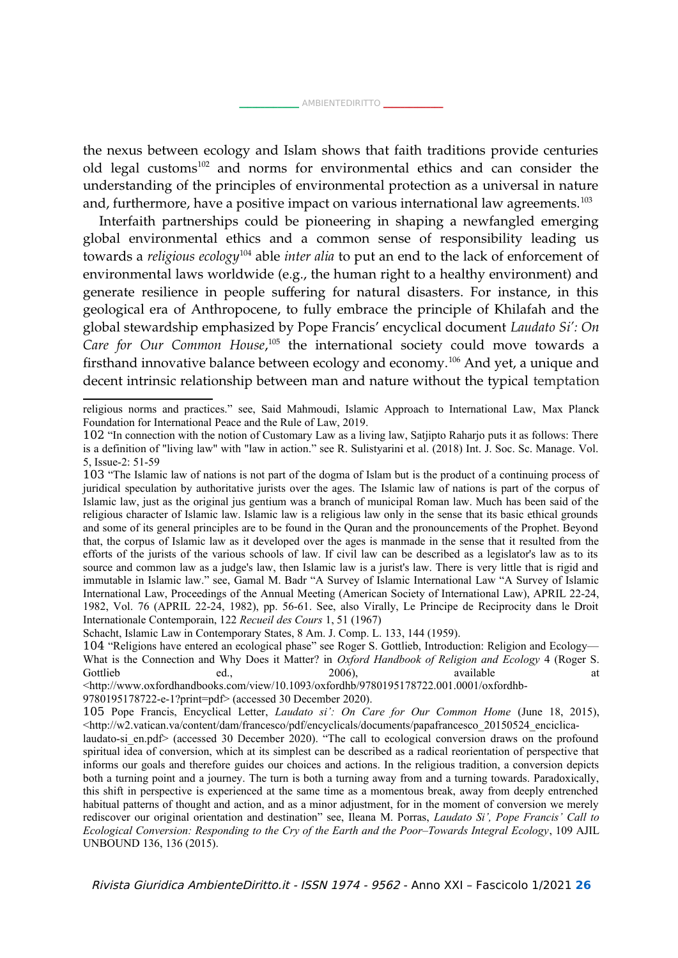the nexus between ecology and Islam shows that faith traditions provide centuries old legal customs<sup>[102](#page-25-0)</sup> and norms for environmental ethics and can consider the understanding of the principles of environmental protection as a universal in nature and, furthermore, have a positive impact on various international law agreements.<sup>[103](#page-25-1)</sup>

Interfaith partnerships could be pioneering in shaping a newfangled emerging global environmental ethics and a common sense of responsibility leading us towards a *religious ecology*[104](#page-25-2) able *inter alia* to put an end to the lack of enforcement of environmental laws worldwide (e.g., the human right to a healthy environment) and generate resilience in people suffering for natural disasters. For instance, in this geological era of Anthropocene, to fully embrace the principle of Khilafah and the global stewardship emphasized by Pope Francis' encyclical document *Laudato Si': On* Care for Our Common House,<sup>[105](#page-25-3)</sup> the international society could move towards a firsthand innovative balance between ecology and economy.<sup>106</sup> And yet, a unique and decent intrinsic relationship between man and nature without the typical temptation

religious norms and practices." see, Said Mahmoudi, Islamic Approach to International Law, Max Planck Foundation for International Peace and the Rule of Law, 2019.

<span id="page-25-0"></span><sup>102</sup> "In connection with the notion of Customary Law as a living law, Satjipto Raharjo puts it as follows: There is a definition of "living law" with "law in action." see R. Sulistyarini et al. (2018) Int. J. Soc. Sc. Manage. Vol. 5, Issue-2: 51-59

<span id="page-25-1"></span><sup>103</sup> "The Islamic law of nations is not part of the dogma of Islam but is the product of a continuing process of juridical speculation by authoritative jurists over the ages. The Islamic law of nations is part of the corpus of Islamic law, just as the original jus gentium was a branch of municipal Roman law. Much has been said of the religious character of Islamic law. Islamic law is a religious law only in the sense that its basic ethical grounds and some of its general principles are to be found in the Quran and the pronouncements of the Prophet. Beyond that, the corpus of Islamic law as it developed over the ages is manmade in the sense that it resulted from the efforts of the jurists of the various schools of law. If civil law can be described as a legislator's law as to its source and common law as a judge's law, then Islamic law is a jurist's law. There is very little that is rigid and immutable in Islamic law." see, Gamal M. Badr "A Survey of Islamic International Law "A Survey of Islamic International Law, Proceedings of the Annual Meeting (American Society of International Law), APRIL 22-24, 1982, Vol. 76 (APRIL 22-24, 1982), pp. 56-61. See, also Virally, Le Principe de Reciprocity dans le Droit Internationale Contemporain, 122 *Recueil des Cours* 1, 51 (1967)

Schacht, Islamic Law in Contemporary States, 8 Am. J. Comp. L. 133, 144 (1959).

<span id="page-25-2"></span><sup>104</sup> "Religions have entered an ecological phase" see Roger S. Gottlieb, Introduction: Religion and Ecology— What is the Connection and Why Does it Matter? in *Oxford Handbook of Religion and Ecology* 4 (Roger S. Gottlieb ed., 2006), available at a

<sup>&</sup>lt;http://www.oxfordhandbooks.com/view/10.1093/oxfordhb/9780195178722.001.0001/oxfordhb-

<sup>9780195178722-</sup>e-1?print=pdf> (accessed 30 December 2020).

<span id="page-25-3"></span><sup>105</sup> Pope Francis, Encyclical Letter, *Laudato si': On Care for Our Common Home* (June 18, 2015),  $\langle \text{http://w2.vatican.va/content/dam/francesco/pdf/encyclicals/document/s/papafrancesco 20150524 enciclica-$ 

laudato-si\_en.pdf> (accessed 30 December 2020). "The call to ecological conversion draws on the profound spiritual idea of conversion, which at its simplest can be described as a radical reorientation of perspective that informs our goals and therefore guides our choices and actions. In the religious tradition, a conversion depicts both a turning point and a journey. The turn is both a turning away from and a turning towards. Paradoxically, this shift in perspective is experienced at the same time as a momentous break, away from deeply entrenched habitual patterns of thought and action, and as a minor adjustment, for in the moment of conversion we merely rediscover our original orientation and destination" see, Ileana M. Porras, *Laudato Si', Pope Francis' Call to Ecological Conversion: Responding to the Cry of the Earth and the Poor–Towards Integral Ecology*, 109 AJIL UNBOUND 136, 136 (2015).